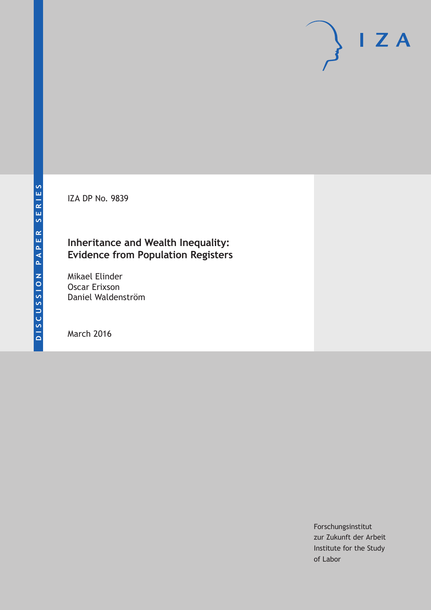IZA DP No. 9839

# **Inheritance and Wealth Inequality: Evidence from Population Registers**

Mikael Elinder Oscar Erixson Daniel Waldenström

March 2016

Forschungsinstitut zur Zukunft der Arbeit Institute for the Study of Labor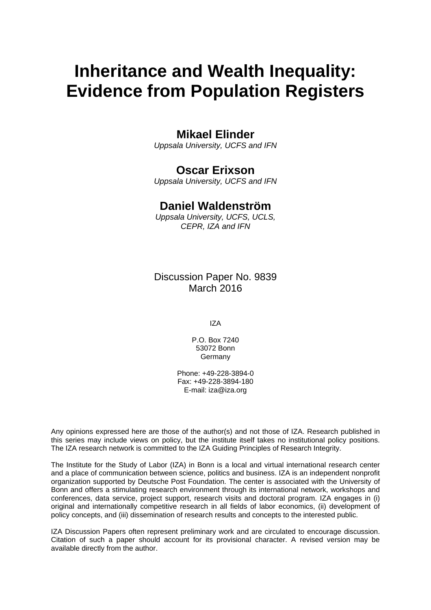# **Inheritance and Wealth Inequality: Evidence from Population Registers**

# **Mikael Elinder**

*Uppsala University, UCFS and IFN* 

# **Oscar Erixson**

*Uppsala University, UCFS and IFN* 

### **Daniel Waldenström**

*Uppsala University, UCFS, UCLS, CEPR, IZA and IFN*

Discussion Paper No. 9839 March 2016

IZA

P.O. Box 7240 53072 Bonn Germany

Phone: +49-228-3894-0 Fax: +49-228-3894-180 E-mail: iza@iza.org

Any opinions expressed here are those of the author(s) and not those of IZA. Research published in this series may include views on policy, but the institute itself takes no institutional policy positions. The IZA research network is committed to the IZA Guiding Principles of Research Integrity.

The Institute for the Study of Labor (IZA) in Bonn is a local and virtual international research center and a place of communication between science, politics and business. IZA is an independent nonprofit organization supported by Deutsche Post Foundation. The center is associated with the University of Bonn and offers a stimulating research environment through its international network, workshops and conferences, data service, project support, research visits and doctoral program. IZA engages in (i) original and internationally competitive research in all fields of labor economics, (ii) development of policy concepts, and (iii) dissemination of research results and concepts to the interested public.

IZA Discussion Papers often represent preliminary work and are circulated to encourage discussion. Citation of such a paper should account for its provisional character. A revised version may be available directly from the author.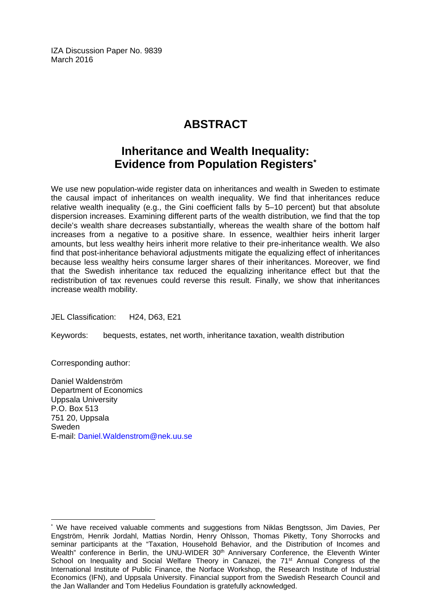IZA Discussion Paper No. 9839 March 2016

# **ABSTRACT**

# **Inheritance and Wealth Inequality: Evidence from Population Registers\***

We use new population-wide register data on inheritances and wealth in Sweden to estimate the causal impact of inheritances on wealth inequality. We find that inheritances reduce relative wealth inequality (e.g., the Gini coefficient falls by 5–10 percent) but that absolute dispersion increases. Examining different parts of the wealth distribution, we find that the top decile's wealth share decreases substantially, whereas the wealth share of the bottom half increases from a negative to a positive share. In essence, wealthier heirs inherit larger amounts, but less wealthy heirs inherit more relative to their pre-inheritance wealth. We also find that post-inheritance behavioral adjustments mitigate the equalizing effect of inheritances because less wealthy heirs consume larger shares of their inheritances. Moreover, we find that the Swedish inheritance tax reduced the equalizing inheritance effect but that the redistribution of tax revenues could reverse this result. Finally, we show that inheritances increase wealth mobility.

JEL Classification: H24, D63, E21

Keywords: bequests, estates, net worth, inheritance taxation, wealth distribution

Corresponding author:

 $\overline{a}$ 

Daniel Waldenström Department of Economics Uppsala University P.O. Box 513 751 20, Uppsala Sweden E-mail: Daniel.Waldenstrom@nek.uu.se

<sup>\*</sup> We have received valuable comments and suggestions from Niklas Bengtsson, Jim Davies, Per Engström, Henrik Jordahl, Mattias Nordin, Henry Ohlsson, Thomas Piketty, Tony Shorrocks and seminar participants at the "Taxation, Household Behavior, and the Distribution of Incomes and Wealth" conference in Berlin, the UNU-WIDER 30<sup>th</sup> Anniversary Conference, the Eleventh Winter School on Inequality and Social Welfare Theory in Canazei, the 71<sup>st</sup> Annual Congress of the International Institute of Public Finance, the Norface Workshop, the Research Institute of Industrial Economics (IFN), and Uppsala University. Financial support from the Swedish Research Council and the Jan Wallander and Tom Hedelius Foundation is gratefully acknowledged.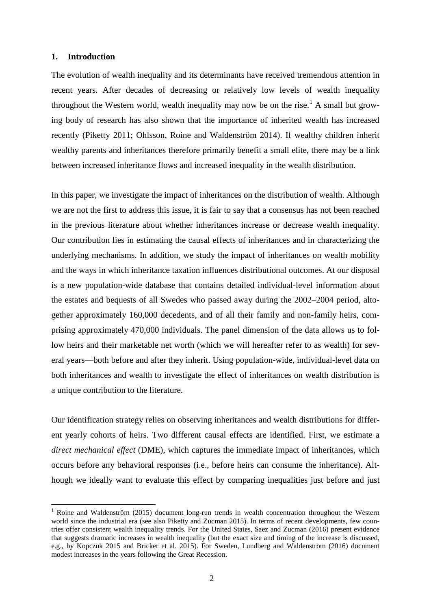#### **1. Introduction**

-

The evolution of wealth inequality and its determinants have received tremendous attention in recent years. After decades of decreasing or relatively low levels of wealth inequality throughout the Western world, wealth inequality may now be on the rise.<sup>[1](#page-3-0)</sup> A small but growing body of research has also shown that the importance of inherited wealth has increased recently (Piketty 2011; Ohlsson, Roine and Waldenström 2014). If wealthy children inherit wealthy parents and inheritances therefore primarily benefit a small elite, there may be a link between increased inheritance flows and increased inequality in the wealth distribution.

In this paper, we investigate the impact of inheritances on the distribution of wealth. Although we are not the first to address this issue, it is fair to say that a consensus has not been reached in the previous literature about whether inheritances increase or decrease wealth inequality. Our contribution lies in estimating the causal effects of inheritances and in characterizing the underlying mechanisms. In addition, we study the impact of inheritances on wealth mobility and the ways in which inheritance taxation influences distributional outcomes. At our disposal is a new population-wide database that contains detailed individual-level information about the estates and bequests of all Swedes who passed away during the 2002–2004 period, altogether approximately 160,000 decedents, and of all their family and non-family heirs, comprising approximately 470,000 individuals. The panel dimension of the data allows us to follow heirs and their marketable net worth (which we will hereafter refer to as wealth) for several years—both before and after they inherit. Using population-wide, individual-level data on both inheritances and wealth to investigate the effect of inheritances on wealth distribution is a unique contribution to the literature.

Our identification strategy relies on observing inheritances and wealth distributions for different yearly cohorts of heirs. Two different causal effects are identified. First, we estimate a *direct mechanical effect* (DME), which captures the immediate impact of inheritances, which occurs before any behavioral responses (i.e., before heirs can consume the inheritance). Although we ideally want to evaluate this effect by comparing inequalities just before and just

<span id="page-3-0"></span><sup>&</sup>lt;sup>1</sup> Roine and Waldenström (2015) document long-run trends in wealth concentration throughout the Western world since the industrial era (see also Piketty and Zucman 2015). In terms of recent developments, few countries offer consistent wealth inequality trends. For the United States, Saez and Zucman (2016) present evidence that suggests dramatic increases in wealth inequality (but the exact size and timing of the increase is discussed, e.g., by Kopczuk 2015 and Bricker et al. 2015). For Sweden, Lundberg and Waldenström (2016) document modest increases in the years following the Great Recession.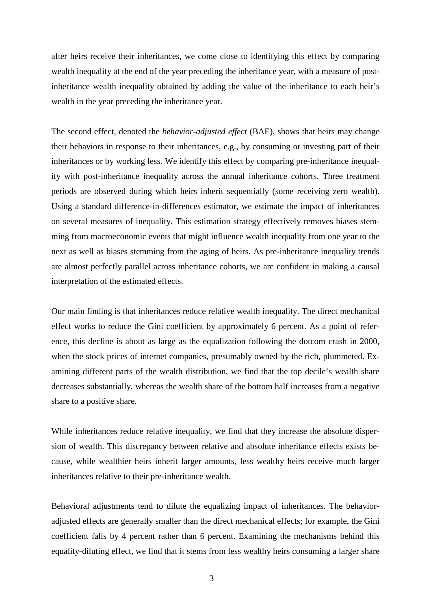after heirs receive their inheritances, we come close to identifying this effect by comparing wealth inequality at the end of the year preceding the inheritance year, with a measure of postinheritance wealth inequality obtained by adding the value of the inheritance to each heir's wealth in the year preceding the inheritance year.

The second effect, denoted the *behavior-adjusted effect* (BAE), shows that heirs may change their behaviors in response to their inheritances, e.g., by consuming or investing part of their inheritances or by working less. We identify this effect by comparing pre-inheritance inequality with post-inheritance inequality across the annual inheritance cohorts. Three treatment periods are observed during which heirs inherit sequentially (some receiving zero wealth). Using a standard difference-in-differences estimator, we estimate the impact of inheritances on several measures of inequality. This estimation strategy effectively removes biases stemming from macroeconomic events that might influence wealth inequality from one year to the next as well as biases stemming from the aging of heirs. As pre-inheritance inequality trends are almost perfectly parallel across inheritance cohorts, we are confident in making a causal interpretation of the estimated effects.

Our main finding is that inheritances reduce relative wealth inequality. The direct mechanical effect works to reduce the Gini coefficient by approximately 6 percent. As a point of reference, this decline is about as large as the equalization following the dotcom crash in 2000, when the stock prices of internet companies, presumably owned by the rich, plummeted. Examining different parts of the wealth distribution, we find that the top decile's wealth share decreases substantially, whereas the wealth share of the bottom half increases from a negative share to a positive share.

While inheritances reduce relative inequality, we find that they increase the absolute dispersion of wealth. This discrepancy between relative and absolute inheritance effects exists because, while wealthier heirs inherit larger amounts, less wealthy heirs receive much larger inheritances relative to their pre-inheritance wealth.

Behavioral adjustments tend to dilute the equalizing impact of inheritances. The behavioradjusted effects are generally smaller than the direct mechanical effects; for example, the Gini coefficient falls by 4 percent rather than 6 percent. Examining the mechanisms behind this equality-diluting effect, we find that it stems from less wealthy heirs consuming a larger share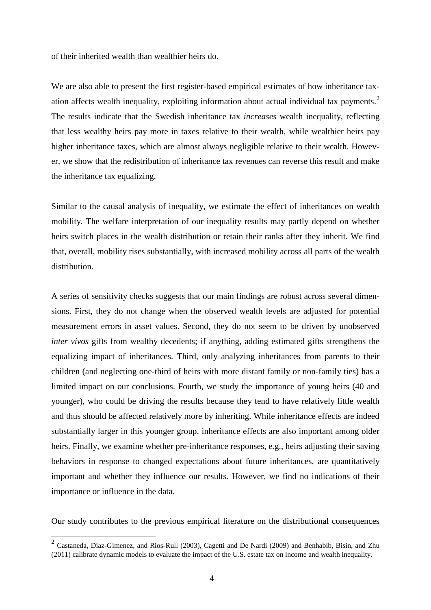of their inherited wealth than wealthier heirs do.

We are also able to present the first register-based empirical estimates of how inheritance tax-ation affects wealth inequality, exploiting information about actual individual tax payments.<sup>[2](#page-5-0)</sup> The results indicate that the Swedish inheritance tax *increases* wealth inequality, reflecting that less wealthy heirs pay more in taxes relative to their wealth, while wealthier heirs pay higher inheritance taxes, which are almost always negligible relative to their wealth. However, we show that the redistribution of inheritance tax revenues can reverse this result and make the inheritance tax equalizing.

Similar to the causal analysis of inequality, we estimate the effect of inheritances on wealth mobility. The welfare interpretation of our inequality results may partly depend on whether heirs switch places in the wealth distribution or retain their ranks after they inherit. We find that, overall, mobility rises substantially, with increased mobility across all parts of the wealth distribution.

A series of sensitivity checks suggests that our main findings are robust across several dimensions. First, they do not change when the observed wealth levels are adjusted for potential measurement errors in asset values. Second, they do not seem to be driven by unobserved *inter vivos* gifts from wealthy decedents; if anything, adding estimated gifts strengthens the equalizing impact of inheritances. Third, only analyzing inheritances from parents to their children (and neglecting one-third of heirs with more distant family or non-family ties) has a limited impact on our conclusions. Fourth, we study the importance of young heirs (40 and younger), who could be driving the results because they tend to have relatively little wealth and thus should be affected relatively more by inheriting. While inheritance effects are indeed substantially larger in this younger group, inheritance effects are also important among older heirs. Finally, we examine whether pre-inheritance responses, e.g., heirs adjusting their saving behaviors in response to changed expectations about future inheritances, are quantitatively important and whether they influence our results. However, we find no indications of their importance or influence in the data.

Our study contributes to the previous empirical literature on the distributional consequences

<u>.</u>

<span id="page-5-0"></span><sup>&</sup>lt;sup>2</sup> Castaneda, Diaz-Gimenez, and Rios-Rull (2003), Cagetti and De Nardi (2009) and Benhabib, Bisin, and Zhu (2011) calibrate dynamic models to evaluate the impact of the U.S. estate tax on income and wealth inequality.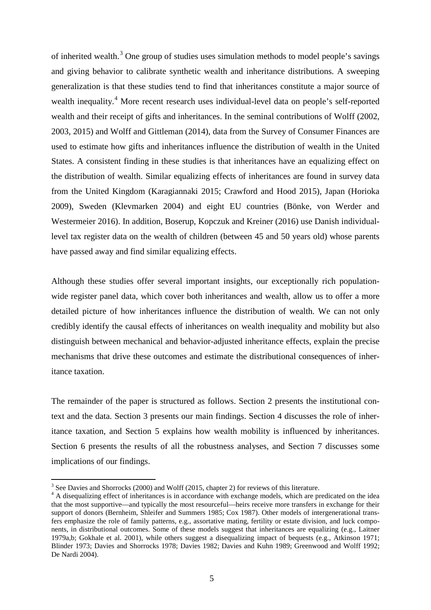of inherited wealth.<sup>[3](#page-6-0)</sup> One group of studies uses simulation methods to model people's savings and giving behavior to calibrate synthetic wealth and inheritance distributions. A sweeping generalization is that these studies tend to find that inheritances constitute a major source of wealth inequality.<sup>[4](#page-6-1)</sup> More recent research uses individual-level data on people's self-reported wealth and their receipt of gifts and inheritances. In the seminal contributions of Wolff (2002, 2003, 2015) and Wolff and Gittleman (2014), data from the Survey of Consumer Finances are used to estimate how gifts and inheritances influence the distribution of wealth in the United States. A consistent finding in these studies is that inheritances have an equalizing effect on the distribution of wealth. Similar equalizing effects of inheritances are found in survey data from the United Kingdom (Karagiannaki 2015; Crawford and Hood 2015), Japan (Horioka 2009), Sweden (Klevmarken 2004) and eight EU countries (Bönke, von Werder and Westermeier 2016). In addition, Boserup, Kopczuk and Kreiner (2016) use Danish individuallevel tax register data on the wealth of children (between 45 and 50 years old) whose parents have passed away and find similar equalizing effects.

Although these studies offer several important insights, our exceptionally rich populationwide register panel data, which cover both inheritances and wealth, allow us to offer a more detailed picture of how inheritances influence the distribution of wealth. We can not only credibly identify the causal effects of inheritances on wealth inequality and mobility but also distinguish between mechanical and behavior-adjusted inheritance effects, explain the precise mechanisms that drive these outcomes and estimate the distributional consequences of inheritance taxation.

The remainder of the paper is structured as follows. Section 2 presents the institutional context and the data. Section 3 presents our main findings. Section 4 discusses the role of inheritance taxation, and Section 5 explains how wealth mobility is influenced by inheritances. Section 6 presents the results of all the robustness analyses, and Section 7 discusses some implications of our findings.

-

 $3$  See Davies and Shorrocks (2000) and Wolff (2015, chapter 2) for reviews of this literature.

<span id="page-6-1"></span><span id="page-6-0"></span><sup>&</sup>lt;sup>4</sup> A disequalizing effect of inheritances is in accordance with exchange models, which are predicated on the idea that the most supportive—and typically the most resourceful—heirs receive more transfers in exchange for their support of donors (Bernheim, Shleifer and Summers 1985; Cox 1987). Other models of intergenerational transfers emphasize the role of family patterns, e.g., assortative mating, fertility or estate division, and luck components, in distributional outcomes. Some of these models suggest that inheritances are equalizing (e.g., Laitner 1979a,b; Gokhale et al. 2001), while others suggest a disequalizing impact of bequests (e.g., Atkinson 1971; Blinder 1973; Davies and Shorrocks 1978; Davies 1982; Davies and Kuhn 1989; Greenwood and Wolff 1992; De Nardi 2004).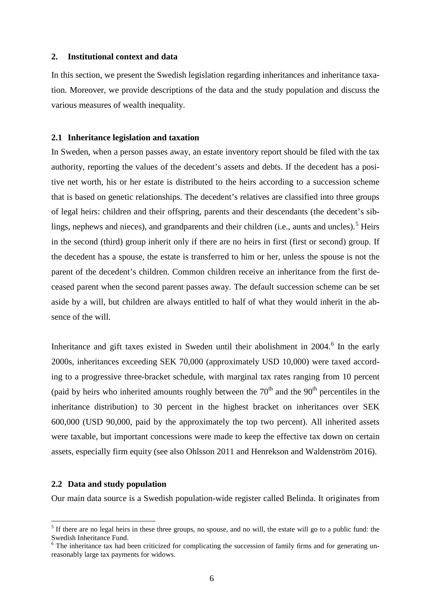#### **2. Institutional context and data**

In this section, we present the Swedish legislation regarding inheritances and inheritance taxation. Moreover, we provide descriptions of the data and the study population and discuss the various measures of wealth inequality.

#### **2.1 Inheritance legislation and taxation**

In Sweden, when a person passes away, an estate inventory report should be filed with the tax authority, reporting the values of the decedent's assets and debts. If the decedent has a positive net worth, his or her estate is distributed to the heirs according to a succession scheme that is based on genetic relationships. The decedent's relatives are classified into three groups of legal heirs: children and their offspring, parents and their descendants (the decedent's sib-lings, nephews and nieces), and grandparents and their children (i.e., aunts and uncles).<sup>[5](#page-7-0)</sup> Heirs in the second (third) group inherit only if there are no heirs in first (first or second) group. If the decedent has a spouse, the estate is transferred to him or her, unless the spouse is not the parent of the decedent's children. Common children receive an inheritance from the first deceased parent when the second parent passes away. The default succession scheme can be set aside by a will, but children are always entitled to half of what they would inherit in the absence of the will.

Inheritance and gift taxes existed in Sweden until their abolishment in  $2004$ .<sup>[6](#page-7-1)</sup> In the early 2000s, inheritances exceeding SEK 70,000 (approximately USD 10,000) were taxed according to a progressive three-bracket schedule, with marginal tax rates ranging from 10 percent (paid by heirs who inherited amounts roughly between the  $70<sup>th</sup>$  and the  $90<sup>th</sup>$  percentiles in the inheritance distribution) to 30 percent in the highest bracket on inheritances over SEK 600,000 (USD 90,000, paid by the approximately the top two percent). All inherited assets were taxable, but important concessions were made to keep the effective tax down on certain assets, especially firm equity (see also Ohlsson 2011 and Henrekson and Waldenström 2016).

#### **2.2 Data and study population**

<u>.</u>

Our main data source is a Swedish population-wide register called Belinda. It originates from

<span id="page-7-0"></span> $<sup>5</sup>$  If there are no legal heirs in these three groups, no spouse, and no will, the estate will go to a public fund: the</sup> Swedish Inheritance Fund.

<span id="page-7-1"></span><sup>&</sup>lt;sup>6</sup> The inheritance tax had been criticized for complicating the succession of family firms and for generating unreasonably large tax payments for widows.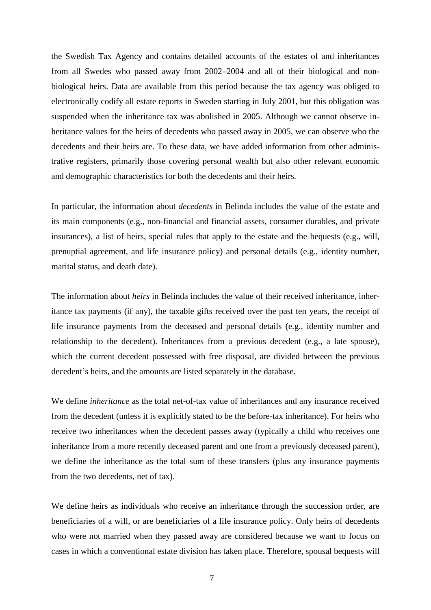the Swedish Tax Agency and contains detailed accounts of the estates of and inheritances from all Swedes who passed away from 2002–2004 and all of their biological and nonbiological heirs. Data are available from this period because the tax agency was obliged to electronically codify all estate reports in Sweden starting in July 2001, but this obligation was suspended when the inheritance tax was abolished in 2005. Although we cannot observe inheritance values for the heirs of decedents who passed away in 2005, we can observe who the decedents and their heirs are. To these data, we have added information from other administrative registers, primarily those covering personal wealth but also other relevant economic and demographic characteristics for both the decedents and their heirs.

In particular, the information about *decedents* in Belinda includes the value of the estate and its main components (e.g., non-financial and financial assets, consumer durables, and private insurances), a list of heirs, special rules that apply to the estate and the bequests (e.g., will, prenuptial agreement, and life insurance policy) and personal details (e.g., identity number, marital status, and death date).

The information about *heirs* in Belinda includes the value of their received inheritance, inheritance tax payments (if any), the taxable gifts received over the past ten years, the receipt of life insurance payments from the deceased and personal details (e.g., identity number and relationship to the decedent). Inheritances from a previous decedent (e.g., a late spouse), which the current decedent possessed with free disposal, are divided between the previous decedent's heirs, and the amounts are listed separately in the database.

We define *inheritance* as the total net-of-tax value of inheritances and any insurance received from the decedent (unless it is explicitly stated to be the before-tax inheritance). For heirs who receive two inheritances when the decedent passes away (typically a child who receives one inheritance from a more recently deceased parent and one from a previously deceased parent), we define the inheritance as the total sum of these transfers (plus any insurance payments from the two decedents, net of tax).

We define heirs as individuals who receive an inheritance through the succession order, are beneficiaries of a will, or are beneficiaries of a life insurance policy. Only heirs of decedents who were not married when they passed away are considered because we want to focus on cases in which a conventional estate division has taken place. Therefore, spousal bequests will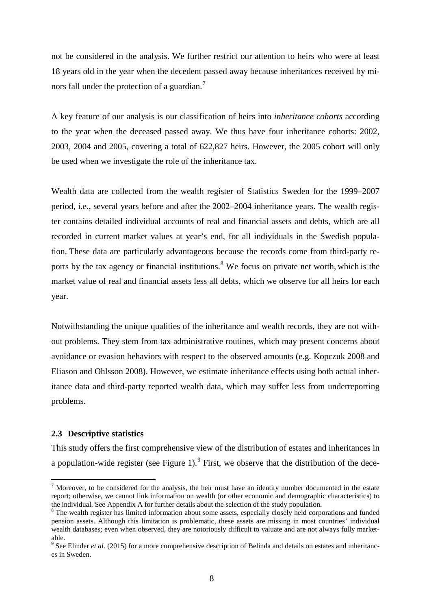not be considered in the analysis. We further restrict our attention to heirs who were at least 18 years old in the year when the decedent passed away because inheritances received by mi-nors fall under the protection of a guardian.<sup>[7](#page-9-0)</sup>

A key feature of our analysis is our classification of heirs into *inheritance cohorts* according to the year when the deceased passed away. We thus have four inheritance cohorts: 2002, 2003, 2004 and 2005, covering a total of 622,827 heirs. However, the 2005 cohort will only be used when we investigate the role of the inheritance tax.

Wealth data are collected from the wealth register of Statistics Sweden for the 1999–2007 period, i.e., several years before and after the 2002–2004 inheritance years. The wealth register contains detailed individual accounts of real and financial assets and debts, which are all recorded in current market values at year's end, for all individuals in the Swedish population. These data are particularly advantageous because the records come from third-party re-ports by the tax agency or financial institutions.<sup>[8](#page-9-1)</sup> We focus on private net worth, which is the market value of real and financial assets less all debts, which we observe for all heirs for each year.

Notwithstanding the unique qualities of the inheritance and wealth records, they are not without problems. They stem from tax administrative routines, which may present concerns about avoidance or evasion behaviors with respect to the observed amounts (e.g. Kopczuk 2008 and Eliason and Ohlsson 2008). However, we estimate inheritance effects using both actual inheritance data and third-party reported wealth data, which may suffer less from underreporting problems.

#### **2.3 Descriptive statistics**

-

This study offers the first comprehensive view of the distribution of estates and inheritances in a population-wide register (see Figure 1).  $9$  First, we observe that the distribution of the dece-

<span id="page-9-0"></span> $<sup>7</sup>$  Moreover, to be considered for the analysis, the heir must have an identity number documented in the estate</sup> report; otherwise, we cannot link information on wealth (or other economic and demographic characteristics) to the individual. See Appendix A for further details about the selection of the study population.<br><sup>8</sup> The wealth register has limited information about some assets, especially closely held corporations and funded

<span id="page-9-1"></span>pension assets. Although this limitation is problematic, these assets are missing in most countries' individual wealth databases; even when observed, they are notoriously difficult to valuate and are not always fully marketable.

<span id="page-9-2"></span><sup>9</sup> See Elinder *et al.* (2015) for a more comprehensive description of Belinda and details on estates and inheritances in Sweden.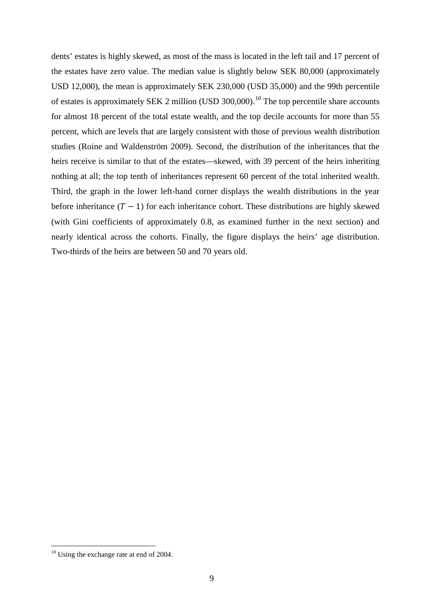dents' estates is highly skewed, as most of the mass is located in the left tail and 17 percent of the estates have zero value. The median value is slightly below SEK 80,000 (approximately USD 12,000), the mean is approximately SEK 230,000 (USD 35,000) and the 99th percentile of estates is approximately SEK 2 million (USD 300,000).<sup>[10](#page-10-0)</sup> The top percentile share accounts for almost 18 percent of the total estate wealth, and the top decile accounts for more than 55 percent, which are levels that are largely consistent with those of previous wealth distribution studies (Roine and Waldenström 2009). Second, the distribution of the inheritances that the heirs receive is similar to that of the estates—skewed, with 39 percent of the heirs inheriting nothing at all; the top tenth of inheritances represent 60 percent of the total inherited wealth. Third, the graph in the lower left-hand corner displays the wealth distributions in the year before inheritance  $(T - 1)$  for each inheritance cohort. These distributions are highly skewed (with Gini coefficients of approximately 0.8, as examined further in the next section) and nearly identical across the cohorts. Finally, the figure displays the heirs' age distribution. Two-thirds of the heirs are between 50 and 70 years old.

<u>.</u>

<span id="page-10-0"></span><sup>&</sup>lt;sup>10</sup> Using the exchange rate at end of 2004.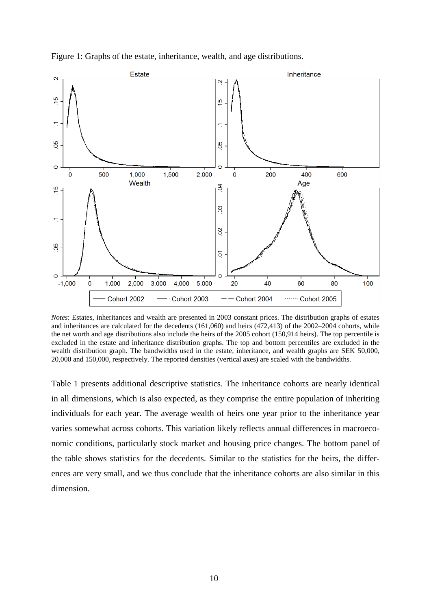

Figure 1: Graphs of the estate, inheritance, wealth, and age distributions.

*Notes*: Estates, inheritances and wealth are presented in 2003 constant prices. The distribution graphs of estates and inheritances are calculated for the decedents (161,060) and heirs (472,413) of the 2002–2004 cohorts, while the net worth and age distributions also include the heirs of the 2005 cohort (150,914 heirs). The top percentile is excluded in the estate and inheritance distribution graphs. The top and bottom percentiles are excluded in the wealth distribution graph. The bandwidths used in the estate, inheritance, and wealth graphs are SEK 50,000, 20,000 and 150,000, respectively. The reported densities (vertical axes) are scaled with the bandwidths.

Table 1 presents additional descriptive statistics. The inheritance cohorts are nearly identical in all dimensions, which is also expected, as they comprise the entire population of inheriting individuals for each year. The average wealth of heirs one year prior to the inheritance year varies somewhat across cohorts. This variation likely reflects annual differences in macroeconomic conditions, particularly stock market and housing price changes. The bottom panel of the table shows statistics for the decedents. Similar to the statistics for the heirs, the differences are very small, and we thus conclude that the inheritance cohorts are also similar in this dimension.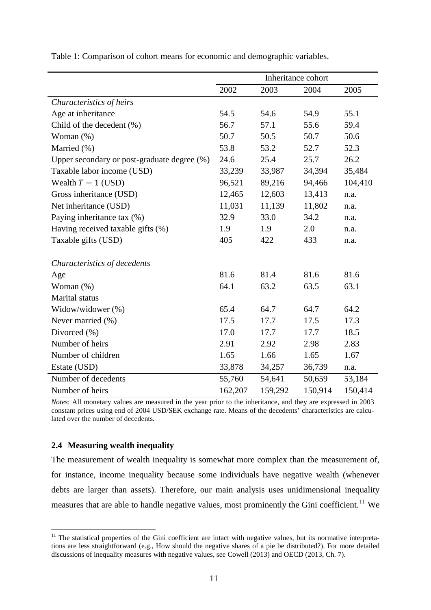| Inheritance cohort                          |         |         |         |         |
|---------------------------------------------|---------|---------|---------|---------|
|                                             | 2002    | 2003    | 2004    | 2005    |
| Characteristics of heirs                    |         |         |         |         |
| Age at inheritance                          | 54.5    | 54.6    | 54.9    | 55.1    |
| Child of the decedent (%)                   | 56.7    | 57.1    | 55.6    | 59.4    |
| Woman $(\%)$                                | 50.7    | 50.5    | 50.7    | 50.6    |
| Married (%)                                 | 53.8    | 53.2    | 52.7    | 52.3    |
| Upper secondary or post-graduate degree (%) | 24.6    | 25.4    | 25.7    | 26.2    |
| Taxable labor income (USD)                  | 33,239  | 33,987  | 34,394  | 35,484  |
| Wealth $T - 1$ (USD)                        | 96,521  | 89,216  | 94,466  | 104,410 |
| Gross inheritance (USD)                     | 12,465  | 12,603  | 13,413  | n.a.    |
| Net inheritance (USD)                       | 11,031  | 11,139  | 11,802  | n.a.    |
| Paying inheritance tax (%)                  | 32.9    | 33.0    | 34.2    | n.a.    |
| Having received taxable gifts (%)           | 1.9     | 1.9     | 2.0     | n.a.    |
| Taxable gifts (USD)                         | 405     | 422     | 433     | n.a.    |
| Characteristics of decedents                |         |         |         |         |
| Age                                         | 81.6    | 81.4    | 81.6    | 81.6    |
| Woman $(\%)$                                | 64.1    | 63.2    | 63.5    | 63.1    |
| Marital status                              |         |         |         |         |
| Widow/widower (%)                           | 65.4    | 64.7    | 64.7    | 64.2    |
| Never married (%)                           | 17.5    | 17.7    | 17.5    | 17.3    |
| Divorced $(\% )$                            | 17.0    | 17.7    | 17.7    | 18.5    |
| Number of heirs                             | 2.91    | 2.92    | 2.98    | 2.83    |
| Number of children                          | 1.65    | 1.66    | 1.65    | 1.67    |
| Estate (USD)                                | 33,878  | 34,257  | 36,739  | n.a.    |
| Number of decedents                         | 55,760  | 54,641  | 50,659  | 53,184  |
| Number of heirs                             | 162,207 | 159,292 | 150,914 | 150,414 |

Table 1: Comparison of cohort means for economic and demographic variables.

*Notes*: All monetary values are measured in the year prior to the inheritance, and they are expressed in 2003 constant prices using end of 2004 USD/SEK exchange rate. Means of the decedents' characteristics are calculated over the number of decedents.

#### **2.4 Measuring wealth inequality**

-

The measurement of wealth inequality is somewhat more complex than the measurement of, for instance, income inequality because some individuals have negative wealth (whenever debts are larger than assets). Therefore, our main analysis uses unidimensional inequality measures that are able to handle negative values, most prominently the Gini coefficient.<sup>[11](#page-12-0)</sup> We

<span id="page-12-0"></span> $11$  The statistical properties of the Gini coefficient are intact with negative values, but its normative interpretations are less straightforward (e.g., How should the negative shares of a pie be distributed?). For more detailed discussions of inequality measures with negative values, see Cowell (2013) and OECD (2013, Ch. 7).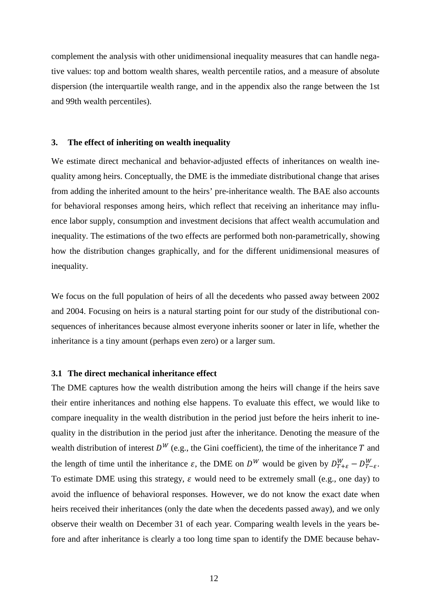complement the analysis with other unidimensional inequality measures that can handle negative values: top and bottom wealth shares, wealth percentile ratios, and a measure of absolute dispersion (the interquartile wealth range, and in the appendix also the range between the 1st and 99th wealth percentiles).

#### **3. The effect of inheriting on wealth inequality**

We estimate direct mechanical and behavior-adjusted effects of inheritances on wealth inequality among heirs. Conceptually, the DME is the immediate distributional change that arises from adding the inherited amount to the heirs' pre-inheritance wealth. The BAE also accounts for behavioral responses among heirs, which reflect that receiving an inheritance may influence labor supply, consumption and investment decisions that affect wealth accumulation and inequality. The estimations of the two effects are performed both non-parametrically, showing how the distribution changes graphically, and for the different unidimensional measures of inequality.

We focus on the full population of heirs of all the decedents who passed away between 2002 and 2004. Focusing on heirs is a natural starting point for our study of the distributional consequences of inheritances because almost everyone inherits sooner or later in life, whether the inheritance is a tiny amount (perhaps even zero) or a larger sum.

#### **3.1 The direct mechanical inheritance effect**

The DME captures how the wealth distribution among the heirs will change if the heirs save their entire inheritances and nothing else happens. To evaluate this effect, we would like to compare inequality in the wealth distribution in the period just before the heirs inherit to inequality in the distribution in the period just after the inheritance. Denoting the measure of the wealth distribution of interest  $D^W$  (e.g., the Gini coefficient), the time of the inheritance T and the length of time until the inheritance  $\varepsilon$ , the DME on  $D^W$  would be given by  $D_{T+\varepsilon}^W - D_{T-\varepsilon}^W$ . To estimate DME using this strategy,  $\varepsilon$  would need to be extremely small (e.g., one day) to avoid the influence of behavioral responses. However, we do not know the exact date when heirs received their inheritances (only the date when the decedents passed away), and we only observe their wealth on December 31 of each year. Comparing wealth levels in the years before and after inheritance is clearly a too long time span to identify the DME because behav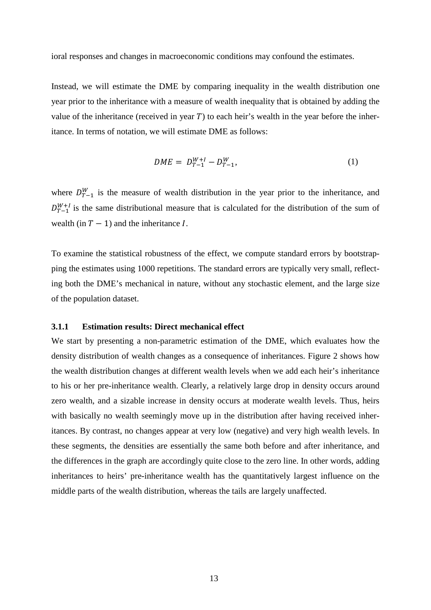ioral responses and changes in macroeconomic conditions may confound the estimates.

Instead, we will estimate the DME by comparing inequality in the wealth distribution one year prior to the inheritance with a measure of wealth inequality that is obtained by adding the value of the inheritance (received in year  $T$ ) to each heir's wealth in the year before the inheritance. In terms of notation, we will estimate DME as follows:

$$
DME = D_{T-1}^{W+I} - D_{T-1}^W,\tag{1}
$$

where  $D_{T-1}^W$  is the measure of wealth distribution in the year prior to the inheritance, and  $D_{T-1}^{W+1}$  is the same distributional measure that is calculated for the distribution of the sum of wealth (in  $T - 1$ ) and the inheritance I.

To examine the statistical robustness of the effect, we compute standard errors by bootstrapping the estimates using 1000 repetitions. The standard errors are typically very small, reflecting both the DME's mechanical in nature, without any stochastic element, and the large size of the population dataset.

#### **3.1.1 Estimation results: Direct mechanical effect**

We start by presenting a non-parametric estimation of the DME, which evaluates how the density distribution of wealth changes as a consequence of inheritances. Figure 2 shows how the wealth distribution changes at different wealth levels when we add each heir's inheritance to his or her pre-inheritance wealth. Clearly, a relatively large drop in density occurs around zero wealth, and a sizable increase in density occurs at moderate wealth levels. Thus, heirs with basically no wealth seemingly move up in the distribution after having received inheritances. By contrast, no changes appear at very low (negative) and very high wealth levels. In these segments, the densities are essentially the same both before and after inheritance, and the differences in the graph are accordingly quite close to the zero line. In other words, adding inheritances to heirs' pre-inheritance wealth has the quantitatively largest influence on the middle parts of the wealth distribution, whereas the tails are largely unaffected.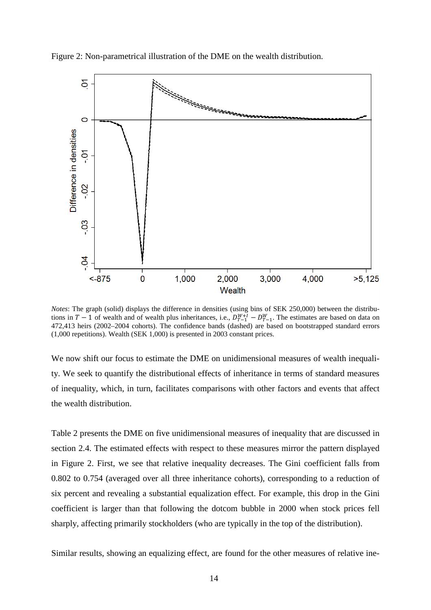Figure 2: Non-parametrical illustration of the DME on the wealth distribution.



*Notes*: The graph (solid) displays the difference in densities (using bins of SEK 250,000) between the distributions in  $T-1$  of wealth and of wealth plus inheritances, i.e.,  $D_{T-1}^{W+I} - D_{T-1}^W$ . The estimates are based on data on 472,413 heirs (2002–2004 cohorts). The confidence bands (dashed) are based on bootstrapped standard errors (1,000 repetitions). Wealth (SEK 1,000) is presented in 2003 constant prices.

We now shift our focus to estimate the DME on unidimensional measures of wealth inequality. We seek to quantify the distributional effects of inheritance in terms of standard measures of inequality, which, in turn, facilitates comparisons with other factors and events that affect the wealth distribution.

Table 2 presents the DME on five unidimensional measures of inequality that are discussed in section 2.4. The estimated effects with respect to these measures mirror the pattern displayed in Figure 2. First, we see that relative inequality decreases. The Gini coefficient falls from 0.802 to 0.754 (averaged over all three inheritance cohorts), corresponding to a reduction of six percent and revealing a substantial equalization effect. For example, this drop in the Gini coefficient is larger than that following the dotcom bubble in 2000 when stock prices fell sharply, affecting primarily stockholders (who are typically in the top of the distribution).

Similar results, showing an equalizing effect, are found for the other measures of relative ine-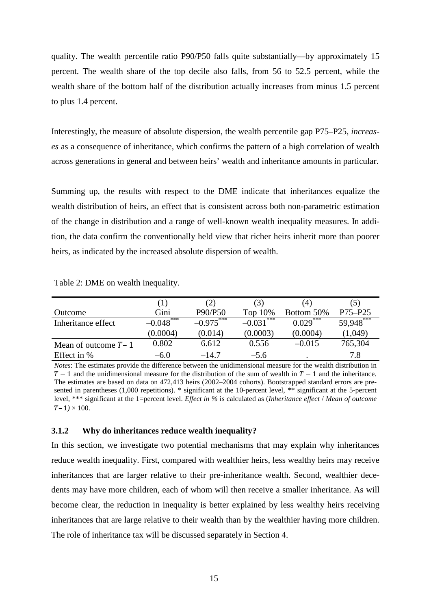quality. The wealth percentile ratio P90/P50 falls quite substantially—by approximately 15 percent. The wealth share of the top decile also falls, from 56 to 52.5 percent, while the wealth share of the bottom half of the distribution actually increases from minus 1.5 percent to plus 1.4 percent.

Interestingly, the measure of absolute dispersion, the wealth percentile gap P75–P25, *increases* as a consequence of inheritance, which confirms the pattern of a high correlation of wealth across generations in general and between heirs' wealth and inheritance amounts in particular.

Summing up, the results with respect to the DME indicate that inheritances equalize the wealth distribution of heirs, an effect that is consistent across both non-parametric estimation of the change in distribution and a range of well-known wealth inequality measures. In addition, the data confirm the conventionally held view that richer heirs inherit more than poorer heirs, as indicated by the increased absolute dispersion of wealth.

Table 2: DME on wealth inequality.

|                       | U.          | (2)         | (3)              | (4)        | (5)         |
|-----------------------|-------------|-------------|------------------|------------|-------------|
| Outcome               | Gini        | P90/P50     | Top 10%          | Bottom 50% | $P75 - P25$ |
| Inheritance effect    | $-0.048***$ | $-0.975***$ | .***<br>$-0.031$ | $0.029***$ | 59.948***   |
|                       | (0.0004)    | (0.014)     | (0.0003)         | (0.0004)   | (1,049)     |
| Mean of outcome $T-1$ | 0.802       | 6.612       | 0.556            | $-0.015$   | 765,304     |
| Effect in %           | $-6.0$      | $-14.7$     | $-5.6$           | $\bullet$  | 7.8         |

*Notes*: The estimates provide the difference between the unidimensional measure for the wealth distribution in  $T-1$  and the unidimensional measure for the distribution of the sum of wealth in  $T-1$  and the inheritance. The estimates are based on data on 472,413 heirs (2002–2004 cohorts). Bootstrapped standard errors are presented in parentheses (1,000 repetitions). \* significant at the 10-percent level, \*\* significant at the 5-percent level, \*\*\* significant at the 1=percent level. *Effect in %* is calculated as (*Inheritance effect* / *Mean of outcome*   $T - 1$   $\times$  100.

#### **3.1.2 Why do inheritances reduce wealth inequality?**

In this section, we investigate two potential mechanisms that may explain why inheritances reduce wealth inequality. First, compared with wealthier heirs, less wealthy heirs may receive inheritances that are larger relative to their pre-inheritance wealth. Second, wealthier decedents may have more children, each of whom will then receive a smaller inheritance. As will become clear, the reduction in inequality is better explained by less wealthy heirs receiving inheritances that are large relative to their wealth than by the wealthier having more children. The role of inheritance tax will be discussed separately in Section 4.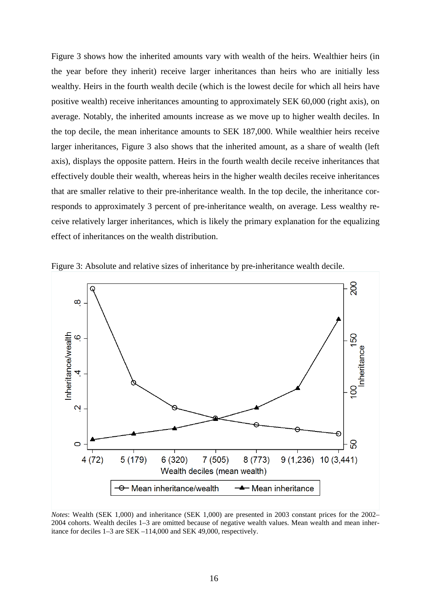Figure 3 shows how the inherited amounts vary with wealth of the heirs. Wealthier heirs (in the year before they inherit) receive larger inheritances than heirs who are initially less wealthy. Heirs in the fourth wealth decile (which is the lowest decile for which all heirs have positive wealth) receive inheritances amounting to approximately SEK 60,000 (right axis), on average. Notably, the inherited amounts increase as we move up to higher wealth deciles. In the top decile, the mean inheritance amounts to SEK 187,000. While wealthier heirs receive larger inheritances, Figure 3 also shows that the inherited amount, as a share of wealth (left axis), displays the opposite pattern. Heirs in the fourth wealth decile receive inheritances that effectively double their wealth, whereas heirs in the higher wealth deciles receive inheritances that are smaller relative to their pre-inheritance wealth. In the top decile, the inheritance corresponds to approximately 3 percent of pre-inheritance wealth, on average. Less wealthy receive relatively larger inheritances, which is likely the primary explanation for the equalizing effect of inheritances on the wealth distribution.





*Notes*: Wealth (SEK 1,000) and inheritance (SEK 1,000) are presented in 2003 constant prices for the 2002– 2004 cohorts. Wealth deciles 1–3 are omitted because of negative wealth values. Mean wealth and mean inheritance for deciles 1–3 are SEK –114,000 and SEK 49,000, respectively.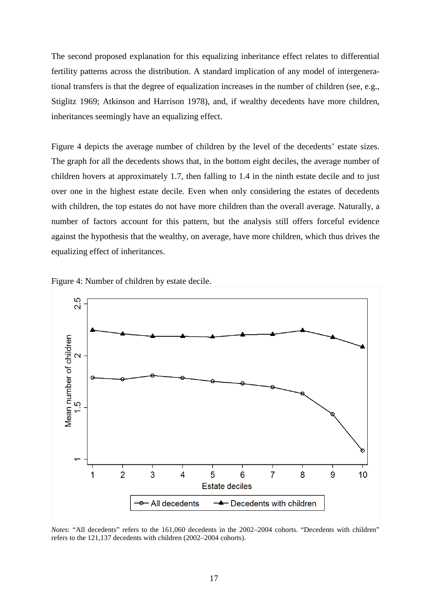The second proposed explanation for this equalizing inheritance effect relates to differential fertility patterns across the distribution. A standard implication of any model of intergenerational transfers is that the degree of equalization increases in the number of children (see, e.g., Stiglitz 1969; Atkinson and Harrison 1978), and, if wealthy decedents have more children, inheritances seemingly have an equalizing effect.

Figure 4 depicts the average number of children by the level of the decedents' estate sizes. The graph for all the decedents shows that, in the bottom eight deciles, the average number of children hovers at approximately 1.7, then falling to 1.4 in the ninth estate decile and to just over one in the highest estate decile. Even when only considering the estates of decedents with children, the top estates do not have more children than the overall average. Naturally, a number of factors account for this pattern, but the analysis still offers forceful evidence against the hypothesis that the wealthy, on average, have more children, which thus drives the equalizing effect of inheritances.





*Notes*: "All decedents" refers to the 161,060 decedents in the 2002–2004 cohorts. "Decedents with children" refers to the 121,137 decedents with children (2002–2004 cohorts).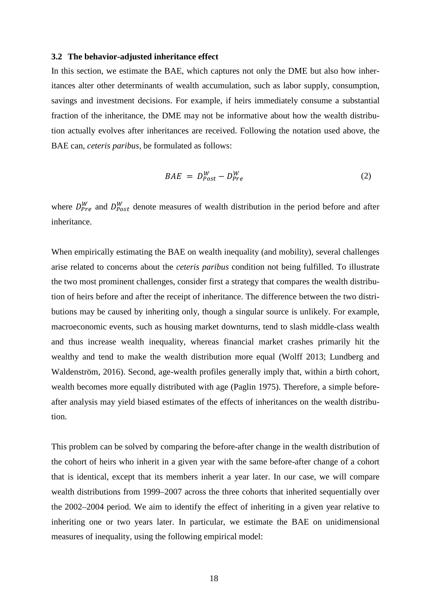#### **3.2 The behavior-adjusted inheritance effect**

In this section, we estimate the BAE, which captures not only the DME but also how inheritances alter other determinants of wealth accumulation, such as labor supply, consumption, savings and investment decisions. For example, if heirs immediately consume a substantial fraction of the inheritance, the DME may not be informative about how the wealth distribution actually evolves after inheritances are received. Following the notation used above, the BAE can, *ceteris paribus*, be formulated as follows:

$$
BAE = D_{Post}^W - D_{Pre}^W \tag{2}
$$

where  $D_{Pre}^{W}$  and  $D_{Post}^{W}$  denote measures of wealth distribution in the period before and after inheritance.

When empirically estimating the BAE on wealth inequality (and mobility), several challenges arise related to concerns about the *ceteris paribus* condition not being fulfilled. To illustrate the two most prominent challenges, consider first a strategy that compares the wealth distribution of heirs before and after the receipt of inheritance. The difference between the two distributions may be caused by inheriting only, though a singular source is unlikely. For example, macroeconomic events, such as housing market downturns, tend to slash middle-class wealth and thus increase wealth inequality, whereas financial market crashes primarily hit the wealthy and tend to make the wealth distribution more equal (Wolff 2013; Lundberg and Waldenström, 2016). Second, age-wealth profiles generally imply that, within a birth cohort, wealth becomes more equally distributed with age (Paglin 1975). Therefore, a simple beforeafter analysis may yield biased estimates of the effects of inheritances on the wealth distribution.

This problem can be solved by comparing the before-after change in the wealth distribution of the cohort of heirs who inherit in a given year with the same before-after change of a cohort that is identical, except that its members inherit a year later. In our case, we will compare wealth distributions from 1999–2007 across the three cohorts that inherited sequentially over the 2002–2004 period. We aim to identify the effect of inheriting in a given year relative to inheriting one or two years later. In particular, we estimate the BAE on unidimensional measures of inequality, using the following empirical model: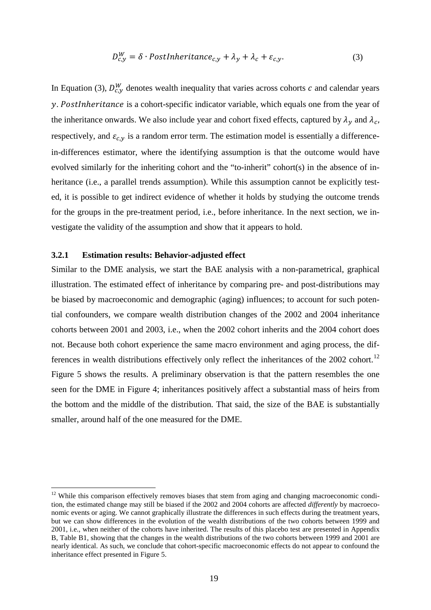$$
D_{c,y}^W = \delta \cdot PostInheritance_{c,y} + \lambda_y + \lambda_c + \varepsilon_{c,y}.
$$
 (3)

In Equation (3),  $D_{c,y}^W$  denotes wealth inequality that varies across cohorts c and calendar years  $\nu$ . PostInheritance is a cohort-specific indicator variable, which equals one from the year of the inheritance onwards. We also include year and cohort fixed effects, captured by  $\lambda_y$  and  $\lambda_c$ , respectively, and  $\varepsilon_{c,y}$  is a random error term. The estimation model is essentially a differencein-differences estimator, where the identifying assumption is that the outcome would have evolved similarly for the inheriting cohort and the "to-inherit" cohort(s) in the absence of inheritance (i.e., a parallel trends assumption). While this assumption cannot be explicitly tested, it is possible to get indirect evidence of whether it holds by studying the outcome trends for the groups in the pre-treatment period, i.e., before inheritance. In the next section, we investigate the validity of the assumption and show that it appears to hold.

#### **3.2.1 Estimation results: Behavior-adjusted effect**

<u>.</u>

Similar to the DME analysis, we start the BAE analysis with a non-parametrical, graphical illustration. The estimated effect of inheritance by comparing pre- and post-distributions may be biased by macroeconomic and demographic (aging) influences; to account for such potential confounders, we compare wealth distribution changes of the 2002 and 2004 inheritance cohorts between 2001 and 2003, i.e., when the 2002 cohort inherits and the 2004 cohort does not. Because both cohort experience the same macro environment and aging process, the dif-ferences in wealth distributions effectively only reflect the inheritances of the 2002 cohort.<sup>[12](#page-20-0)</sup> Figure 5 shows the results. A preliminary observation is that the pattern resembles the one seen for the DME in Figure 4; inheritances positively affect a substantial mass of heirs from the bottom and the middle of the distribution. That said, the size of the BAE is substantially smaller, around half of the one measured for the DME.

<span id="page-20-0"></span> $12$  While this comparison effectively removes biases that stem from aging and changing macroeconomic condition, the estimated change may still be biased if the 2002 and 2004 cohorts are affected *differently* by macroeconomic events or aging. We cannot graphically illustrate the differences in such effects during the treatment years, but we can show differences in the evolution of the wealth distributions of the two cohorts between 1999 and 2001, i.e., when neither of the cohorts have inherited. The results of this placebo test are presented in Appendix B, Table B1, showing that the changes in the wealth distributions of the two cohorts between 1999 and 2001 are nearly identical. As such, we conclude that cohort-specific macroeconomic effects do not appear to confound the inheritance effect presented in Figure 5.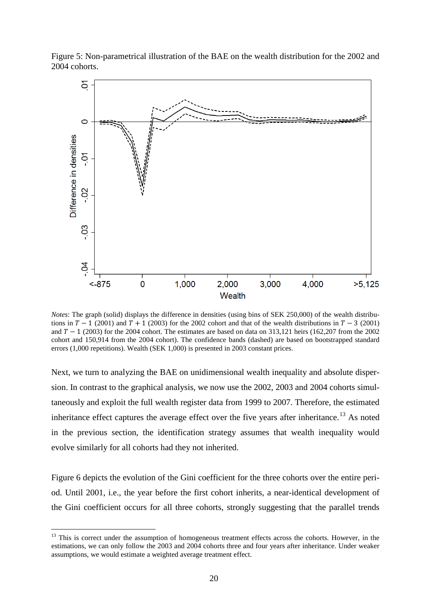



*Notes*: The graph (solid) displays the difference in densities (using bins of SEK 250,000) of the wealth distributions in  $T - 1$  (2001) and  $T + 1$  (2003) for the 2002 cohort and that of the wealth distributions in  $T - 3$  (2001) and  $T - 1$  (2003) for the 2004 cohort. The estimates are based on data on 313,121 heirs (162,207 from the 2002 cohort and 150,914 from the 2004 cohort). The confidence bands (dashed) are based on bootstrapped standard errors (1,000 repetitions). Wealth (SEK 1,000) is presented in 2003 constant prices.

Next, we turn to analyzing the BAE on unidimensional wealth inequality and absolute dispersion. In contrast to the graphical analysis, we now use the 2002, 2003 and 2004 cohorts simultaneously and exploit the full wealth register data from 1999 to 2007. Therefore, the estimated inheritance effect captures the average effect over the five years after inheritance.<sup>[13](#page-21-0)</sup> As noted in the previous section, the identification strategy assumes that wealth inequality would evolve similarly for all cohorts had they not inherited.

Figure 6 depicts the evolution of the Gini coefficient for the three cohorts over the entire period. Until 2001, i.e., the year before the first cohort inherits, a near-identical development of the Gini coefficient occurs for all three cohorts, strongly suggesting that the parallel trends

-

<span id="page-21-0"></span><sup>&</sup>lt;sup>13</sup> This is correct under the assumption of homogeneous treatment effects across the cohorts. However, in the estimations, we can only follow the 2003 and 2004 cohorts three and four years after inheritance. Under weaker assumptions, we would estimate a weighted average treatment effect.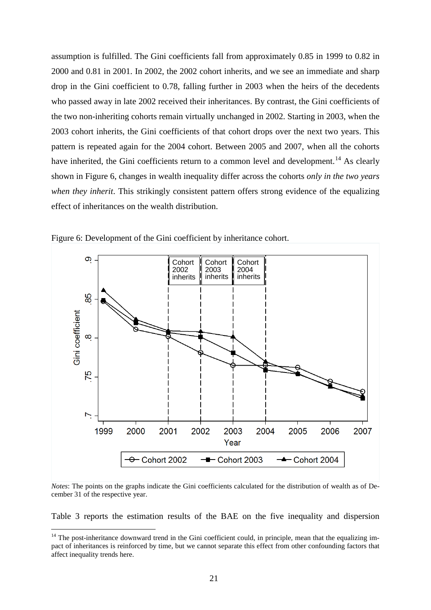assumption is fulfilled. The Gini coefficients fall from approximately 0.85 in 1999 to 0.82 in 2000 and 0.81 in 2001. In 2002, the 2002 cohort inherits, and we see an immediate and sharp drop in the Gini coefficient to 0.78, falling further in 2003 when the heirs of the decedents who passed away in late 2002 received their inheritances. By contrast, the Gini coefficients of the two non-inheriting cohorts remain virtually unchanged in 2002. Starting in 2003, when the 2003 cohort inherits, the Gini coefficients of that cohort drops over the next two years. This pattern is repeated again for the 2004 cohort. Between 2005 and 2007, when all the cohorts have inherited, the Gini coefficients return to a common level and development.<sup>[14](#page-22-0)</sup> As clearly shown in Figure 6, changes in wealth inequality differ across the cohorts *only in the two years when they inherit*. This strikingly consistent pattern offers strong evidence of the equalizing effect of inheritances on the wealth distribution.



Figure 6: Development of the Gini coefficient by inheritance cohort.

*Notes*: The points on the graphs indicate the Gini coefficients calculated for the distribution of wealth as of December 31 of the respective year.

Table 3 reports the estimation results of the BAE on the five inequality and dispersion

-

<span id="page-22-0"></span> $14$  The post-inheritance downward trend in the Gini coefficient could, in principle, mean that the equalizing impact of inheritances is reinforced by time, but we cannot separate this effect from other confounding factors that affect inequality trends here.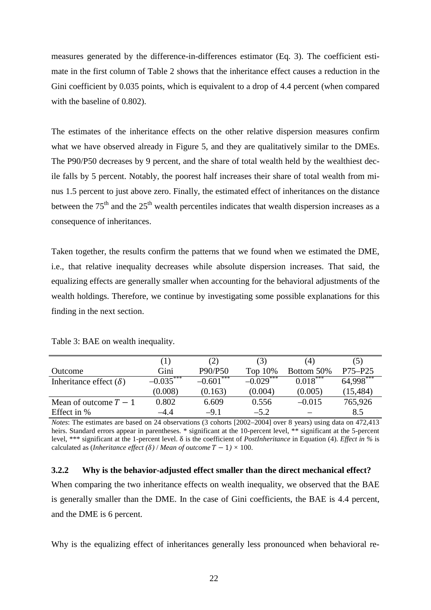measures generated by the difference-in-differences estimator (Eq. 3). The coefficient estimate in the first column of Table 2 shows that the inheritance effect causes a reduction in the Gini coefficient by 0.035 points, which is equivalent to a drop of 4.4 percent (when compared with the baseline of 0.802).

The estimates of the inheritance effects on the other relative dispersion measures confirm what we have observed already in Figure 5, and they are qualitatively similar to the DMEs. The P90/P50 decreases by 9 percent, and the share of total wealth held by the wealthiest decile falls by 5 percent. Notably, the poorest half increases their share of total wealth from minus 1.5 percent to just above zero. Finally, the estimated effect of inheritances on the distance between the  $75<sup>th</sup>$  and the  $25<sup>th</sup>$  wealth percentiles indicates that wealth dispersion increases as a consequence of inheritances.

Taken together, the results confirm the patterns that we found when we estimated the DME, i.e., that relative inequality decreases while absolute dispersion increases. That said, the equalizing effects are generally smaller when accounting for the behavioral adjustments of the wealth holdings. Therefore, we continue by investigating some possible explanations for this finding in the next section.

|                               | (1)         | (2)             | (3)          | (4)        | (5)         |
|-------------------------------|-------------|-----------------|--------------|------------|-------------|
| Outcome                       | Gini        | P90/P50         | Top 10%      | Bottom 50% | $P75 - P25$ |
| Inheritance effect $(\delta)$ | $-0.035***$ | ***<br>$-0.601$ | $-0.029$ *** | $0.018***$ | $64.998***$ |
|                               | (0.008)     | (0.163)         | (0.004)      | (0.005)    | (15, 484)   |
| Mean of outcome $T-1$         | 0.802       | 6.609           | 0.556        | $-0.015$   | 765,926     |
| Effect in %                   | $-4.4$      | $-9.1$          | $-5.2$       |            | 8.5         |

Table 3: BAE on wealth inequality.

*Notes*: The estimates are based on 24 observations (3 cohorts [2002–2004] over 8 years) using data on 472,413 heirs. Standard errors appear in parentheses. \* significant at the 10-percent level, \*\* significant at the 5-percent level, \*\*\* significant at the 1-percent level. δ is the coefficient of *PostInheritance* in Equation (4). *Effect in %* is calculated as (*Inheritance effect* ( $\delta$ ) / *Mean of outcome*  $T - 1$ ) × 100.

#### **3.2.2 Why is the behavior-adjusted effect smaller than the direct mechanical effect?**

When comparing the two inheritance effects on wealth inequality, we observed that the BAE is generally smaller than the DME. In the case of Gini coefficients, the BAE is 4.4 percent, and the DME is 6 percent.

Why is the equalizing effect of inheritances generally less pronounced when behavioral re-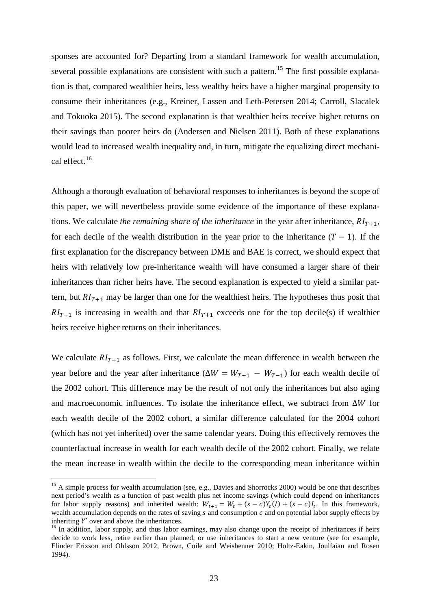sponses are accounted for? Departing from a standard framework for wealth accumulation, several possible explanations are consistent with such a pattern.<sup>[15](#page-24-0)</sup> The first possible explanation is that, compared wealthier heirs, less wealthy heirs have a higher marginal propensity to consume their inheritances (e.g., Kreiner, Lassen and Leth-Petersen 2014; Carroll, Slacalek and Tokuoka 2015). The second explanation is that wealthier heirs receive higher returns on their savings than poorer heirs do (Andersen and Nielsen 2011). Both of these explanations would lead to increased wealth inequality and, in turn, mitigate the equalizing direct mechanical effect. [16](#page-24-1)

Although a thorough evaluation of behavioral responses to inheritances is beyond the scope of this paper, we will nevertheless provide some evidence of the importance of these explanations. We calculate *the remaining share of the inheritance* in the year after inheritance,  $RI_{T+1}$ , for each decile of the wealth distribution in the year prior to the inheritance  $(T - 1)$ . If the first explanation for the discrepancy between DME and BAE is correct, we should expect that heirs with relatively low pre-inheritance wealth will have consumed a larger share of their inheritances than richer heirs have. The second explanation is expected to yield a similar pattern, but  $RI_{T+1}$  may be larger than one for the wealthiest heirs. The hypotheses thus posit that  $RI_{T+1}$  is increasing in wealth and that  $RI_{T+1}$  exceeds one for the top decile(s) if wealthier heirs receive higher returns on their inheritances.

We calculate  $RI_{T+1}$  as follows. First, we calculate the mean difference in wealth between the year before and the year after inheritance ( $\Delta W = W_{T+1} - W_{T-1}$ ) for each wealth decile of the 2002 cohort. This difference may be the result of not only the inheritances but also aging and macroeconomic influences. To isolate the inheritance effect, we subtract from  $\Delta W$  for each wealth decile of the 2002 cohort, a similar difference calculated for the 2004 cohort (which has not yet inherited) over the same calendar years. Doing this effectively removes the counterfactual increase in wealth for each wealth decile of the 2002 cohort. Finally, we relate the mean increase in wealth within the decile to the corresponding mean inheritance within

-

<span id="page-24-0"></span> $15$  A simple process for wealth accumulation (see, e.g., Davies and Shorrocks 2000) would be one that describes next period's wealth as a function of past wealth plus net income savings (which could depend on inheritances for labor supply reasons) and inherited wealth:  $W_{t+1} = W_t + (s - c)Y_t(I) + (s - c)I_t$ . In this framework, wealth accumulation depends on the rates of saving  $s$  and consumption  $c$  and on potential labor supply effects by inheriting  $Y'$  over and above the inheritances.

<span id="page-24-1"></span> $16$  In addition, labor supply, and thus labor earnings, may also change upon the receipt of inheritances if heirs decide to work less, retire earlier than planned, or use inheritances to start a new venture (see for example, Elinder Erixson and Ohlsson 2012, Brown, Coile and Weisbenner 2010; Holtz-Eakin, Joulfaian and Rosen 1994).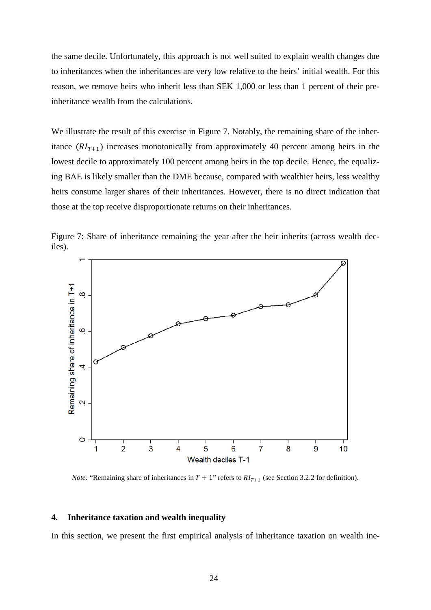the same decile. Unfortunately, this approach is not well suited to explain wealth changes due to inheritances when the inheritances are very low relative to the heirs' initial wealth. For this reason, we remove heirs who inherit less than SEK 1,000 or less than 1 percent of their preinheritance wealth from the calculations.

We illustrate the result of this exercise in Figure 7. Notably, the remaining share of the inheritance  $(RI_{T+1})$  increases monotonically from approximately 40 percent among heirs in the lowest decile to approximately 100 percent among heirs in the top decile. Hence, the equalizing BAE is likely smaller than the DME because, compared with wealthier heirs, less wealthy heirs consume larger shares of their inheritances. However, there is no direct indication that those at the top receive disproportionate returns on their inheritances.



Figure 7: Share of inheritance remaining the year after the heir inherits (across wealth deciles).

*Note:* "Remaining share of inheritances in  $T + 1$ " refers to  $RI_{T+1}$  (see Section 3.2.2 for definition).

#### **4. Inheritance taxation and wealth inequality**

In this section, we present the first empirical analysis of inheritance taxation on wealth ine-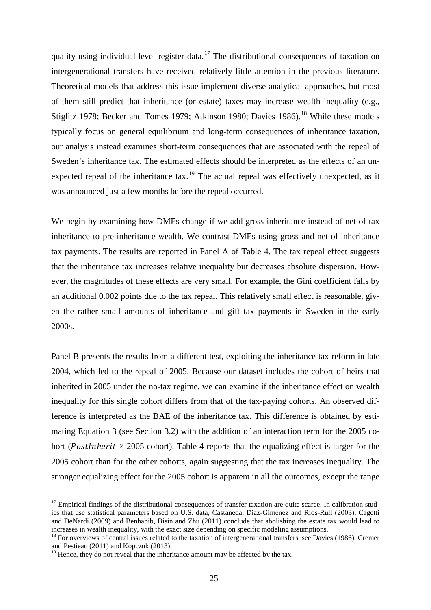quality using individual-level register data.<sup>[17](#page-26-0)</sup> The distributional consequences of taxation on intergenerational transfers have received relatively little attention in the previous literature. Theoretical models that address this issue implement diverse analytical approaches, but most of them still predict that inheritance (or estate) taxes may increase wealth inequality (e.g., Stiglitz 1978; Becker and Tomes 1979; Atkinson 1980; Davies 1986).<sup>[18](#page-26-1)</sup> While these models typically focus on general equilibrium and long-term consequences of inheritance taxation, our analysis instead examines short-term consequences that are associated with the repeal of Sweden's inheritance tax. The estimated effects should be interpreted as the effects of an un-expected repeal of the inheritance tax.<sup>[19](#page-26-2)</sup> The actual repeal was effectively unexpected, as it was announced just a few months before the repeal occurred.

We begin by examining how DMEs change if we add gross inheritance instead of net-of-tax inheritance to pre-inheritance wealth. We contrast DMEs using gross and net-of-inheritance tax payments. The results are reported in Panel A of Table 4. The tax repeal effect suggests that the inheritance tax increases relative inequality but decreases absolute dispersion. However, the magnitudes of these effects are very small. For example, the Gini coefficient falls by an additional 0.002 points due to the tax repeal. This relatively small effect is reasonable, given the rather small amounts of inheritance and gift tax payments in Sweden in the early 2000s.

Panel B presents the results from a different test, exploiting the inheritance tax reform in late 2004, which led to the repeal of 2005. Because our dataset includes the cohort of heirs that inherited in 2005 under the no-tax regime, we can examine if the inheritance effect on wealth inequality for this single cohort differs from that of the tax-paying cohorts. An observed difference is interpreted as the BAE of the inheritance tax. This difference is obtained by estimating Equation 3 (see Section 3.2) with the addition of an interaction term for the 2005 cohort (*PostInherit*  $\times$  2005 cohort). Table 4 reports that the equalizing effect is larger for the 2005 cohort than for the other cohorts, again suggesting that the tax increases inequality. The stronger equalizing effect for the 2005 cohort is apparent in all the outcomes, except the range

-

<span id="page-26-0"></span> $17$  Empirical findings of the distributional consequences of transfer taxation are quite scarce. In calibration studies that use statistical parameters based on U.S. data, Castaneda, Diaz-Gimenez and Rios-Rull (2003), Cagetti and DeNardi (2009) and Benhabib, Bisin and Zhu (2011) conclude that abolishing the estate tax would lead to increases in wealth inequality, with the exact size depending on specific modeling assumptions.

<span id="page-26-1"></span> $18$  For overviews of central issues related to the taxation of intergenerational transfers, see Davies (1986), Cremer and Pestieau (2011) and Kopczuk (2013).

<span id="page-26-2"></span> $19$  Hence, they do not reveal that the inheritance amount may be affected by the tax.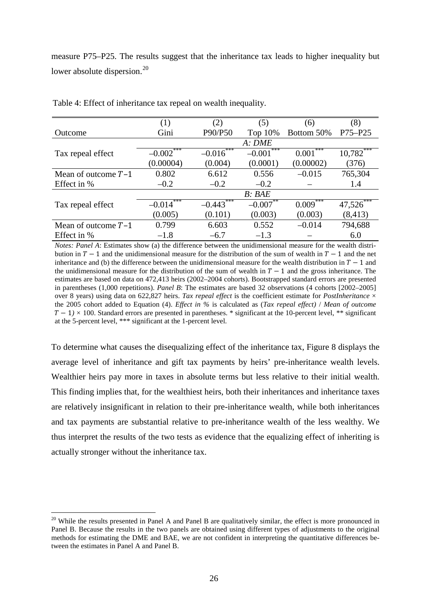measure P75–P25. The results suggest that the inheritance tax leads to higher inequality but lower absolute dispersion.<sup>[20](#page-27-0)</sup>

|                       | (1)             | (2)          | (5)          | (6)          | (8)      |
|-----------------------|-----------------|--------------|--------------|--------------|----------|
| Outcome               | Gini            | P90/P50      | Top 10%      | Bottom 50%   | P75-P25  |
|                       |                 |              | A: DME       |              |          |
| Tax repeal effect     | $-0.002$ ***    | $-0.016$ *** | $-0.001$ *** | $0.001***$   | 10,782   |
|                       | (0.00004)       | (0.004)      | (0.0001)     | (0.00002)    | (376)    |
| Mean of outcome $T-1$ | 0.802           | 6.612        | 0.556        | $-0.015$     | 765,304  |
| Effect in %           | $-0.2$          | $-0.2$       | $-0.2$       |              | 1.4      |
|                       |                 |              | B:BAE        |              |          |
| Tax repeal effect     | ***<br>$-0.014$ | $-0.443$     | $-0.007$     | ***<br>0.009 | 47,526   |
|                       | (0.005)         | (0.101)      | (0.003)      | (0.003)      | (8, 413) |
| Mean of outcome $T-1$ | 0.799           | 6.603        | 0.552        | $-0.014$     | 794,688  |
| Effect in %           | $-1.8$          | $-6.7$       | $-1.3$       |              | 6.0      |

Table 4: Effect of inheritance tax repeal on wealth inequality.

*Notes: Panel A*: Estimates show (a) the difference between the unidimensional measure for the wealth distribution in  $T - 1$  and the unidimensional measure for the distribution of the sum of wealth in  $T - 1$  and the net inheritance and (b) the difference between the unidimensional measure for the wealth distribution in  $T - 1$  and the unidimensional measure for the distribution of the sum of wealth in  $T - 1$  and the gross inheritance. The estimates are based on data on 472,413 heirs (2002–2004 cohorts). Bootstrapped standard errors are presented in parentheses (1,000 repetitions). *Panel B*: The estimates are based 32 observations (4 cohorts [2002–2005] over 8 years) using data on 622,827 heirs. *Tax repeal effect* is the coefficient estimate for *PostInheritance* × the 2005 cohort added to Equation (4). *Effect in %* is calculated as (*Tax repeal effect)* / *Mean of outcome*   $T - 1$ ) × 100. Standard errors are presented in parentheses. \* significant at the 10-percent level, \*\* significant at the 5-percent level, \*\*\* significant at the 1-percent level.

To determine what causes the disequalizing effect of the inheritance tax, Figure 8 displays the average level of inheritance and gift tax payments by heirs' pre-inheritance wealth levels. Wealthier heirs pay more in taxes in absolute terms but less relative to their initial wealth. This finding implies that, for the wealthiest heirs, both their inheritances and inheritance taxes are relatively insignificant in relation to their pre-inheritance wealth, while both inheritances and tax payments are substantial relative to pre-inheritance wealth of the less wealthy. We thus interpret the results of the two tests as evidence that the equalizing effect of inheriting is actually stronger without the inheritance tax.

<u>.</u>

<span id="page-27-0"></span> $20$  While the results presented in Panel A and Panel B are qualitatively similar, the effect is more pronounced in Panel B. Because the results in the two panels are obtained using different types of adjustments to the original methods for estimating the DME and BAE, we are not confident in interpreting the quantitative differences between the estimates in Panel A and Panel B.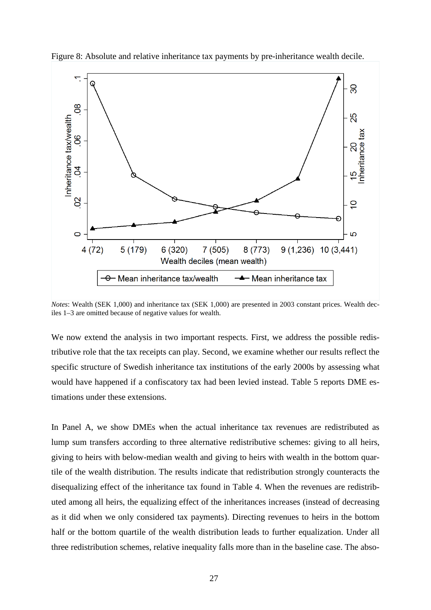

Figure 8: Absolute and relative inheritance tax payments by pre-inheritance wealth decile.

*Notes*: Wealth (SEK 1,000) and inheritance tax (SEK 1,000) are presented in 2003 constant prices. Wealth deciles 1–3 are omitted because of negative values for wealth.

We now extend the analysis in two important respects. First, we address the possible redistributive role that the tax receipts can play. Second, we examine whether our results reflect the specific structure of Swedish inheritance tax institutions of the early 2000s by assessing what would have happened if a confiscatory tax had been levied instead. Table 5 reports DME estimations under these extensions.

In Panel A, we show DMEs when the actual inheritance tax revenues are redistributed as lump sum transfers according to three alternative redistributive schemes: giving to all heirs, giving to heirs with below-median wealth and giving to heirs with wealth in the bottom quartile of the wealth distribution. The results indicate that redistribution strongly counteracts the disequalizing effect of the inheritance tax found in Table 4. When the revenues are redistributed among all heirs, the equalizing effect of the inheritances increases (instead of decreasing as it did when we only considered tax payments). Directing revenues to heirs in the bottom half or the bottom quartile of the wealth distribution leads to further equalization. Under all three redistribution schemes, relative inequality falls more than in the baseline case. The abso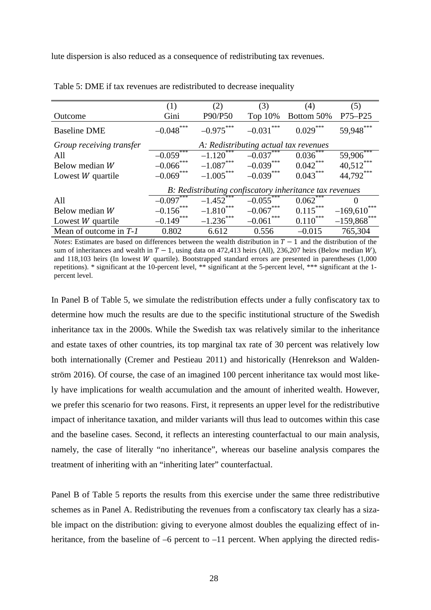lute dispersion is also reduced as a consequence of redistributing tax revenues.

|                          | (1)          | (2)                                   | (3)                          | (4)                                                     | (5)            |
|--------------------------|--------------|---------------------------------------|------------------------------|---------------------------------------------------------|----------------|
| Outcome                  | Gini         | P90/P50                               | Top 10%                      | Bottom 50%                                              | P75-P25        |
| <b>Baseline DME</b>      | $-0.048$ *** | $-0.975***$                           | ***<br>$-0.031$ <sup>2</sup> | $0.029***$                                              | 59,948***      |
| Group receiving transfer |              | A: Redistributing actual tax revenues |                              |                                                         |                |
| All                      | $-0.059$ *** | $-1.120$ <sup>***</sup>               | $-0.037***$                  | $0.036***$                                              | $59,906***$    |
| Below median W           | $-0.066$ *** | $-1.087***$                           | $-0.039***$                  | $0.042***$                                              | $40,512***$    |
| Lowest $W$ quartile      | $-0.069$ *** | $-1.005***$                           | $-0.039***$                  | $0.043***$                                              | 44,792***      |
|                          |              |                                       |                              | B: Redistributing confiscatory inheritance tax revenues |                |
| All                      | $-0.097$     | $-1.452$                              | $-0.05\overline{5}$          | $0.062^{\degree}$                                       | $\theta$       |
| Below median W           | $-0.156$ *** | $-1.810***$                           | $-0.067***$                  | $0.115***$                                              | $-169,610***$  |
| Lowest $W$ quartile      | $-0.149$ *** | $-1.236$ ***                          | ***<br>$-0.061$              | $0.110^{***}$                                           | $-159,868$ *** |
| Mean of outcome in $T-1$ | 0.802        | 6.612                                 | 0.556                        | $-0.015$                                                | 765,304        |

| Table 5: DME if tax revenues are redistributed to decrease inequality |  |  |
|-----------------------------------------------------------------------|--|--|
|-----------------------------------------------------------------------|--|--|

*Notes*: Estimates are based on differences between the wealth distribution in  $T - 1$  and the distribution of the sum of inheritances and wealth in  $T - 1$ , using data on 472,413 heirs (All), 236,207 heirs (Below median W), and 118,103 heirs (In lowest *W* quartile). Bootstrapped standard errors are presented in parentheses (1,000) repetitions). \* significant at the 10-percent level, \*\* significant at the 5-percent level, \*\*\* significant at the 1 percent level.

In Panel B of Table 5, we simulate the redistribution effects under a fully confiscatory tax to determine how much the results are due to the specific institutional structure of the Swedish inheritance tax in the 2000s. While the Swedish tax was relatively similar to the inheritance and estate taxes of other countries, its top marginal tax rate of 30 percent was relatively low both internationally (Cremer and Pestieau 2011) and historically (Henrekson and Waldenström 2016). Of course, the case of an imagined 100 percent inheritance tax would most likely have implications for wealth accumulation and the amount of inherited wealth. However, we prefer this scenario for two reasons. First, it represents an upper level for the redistributive impact of inheritance taxation, and milder variants will thus lead to outcomes within this case and the baseline cases. Second, it reflects an interesting counterfactual to our main analysis, namely, the case of literally "no inheritance", whereas our baseline analysis compares the treatment of inheriting with an "inheriting later" counterfactual.

Panel B of Table 5 reports the results from this exercise under the same three redistributive schemes as in Panel A. Redistributing the revenues from a confiscatory tax clearly has a sizable impact on the distribution: giving to everyone almost doubles the equalizing effect of inheritance, from the baseline of –6 percent to –11 percent. When applying the directed redis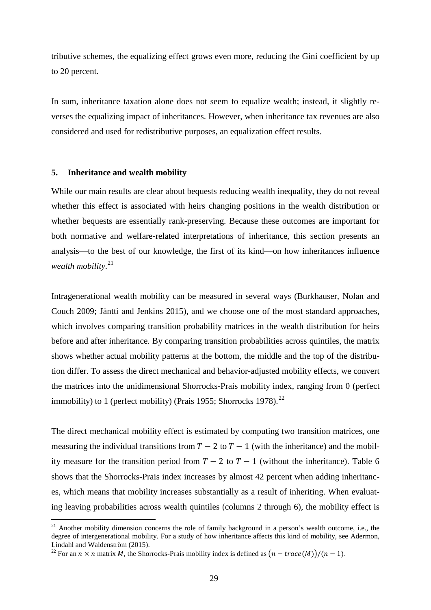tributive schemes, the equalizing effect grows even more, reducing the Gini coefficient by up to 20 percent.

In sum, inheritance taxation alone does not seem to equalize wealth; instead, it slightly reverses the equalizing impact of inheritances. However, when inheritance tax revenues are also considered and used for redistributive purposes, an equalization effect results.

#### **5. Inheritance and wealth mobility**

-

While our main results are clear about bequests reducing wealth inequality, they do not reveal whether this effect is associated with heirs changing positions in the wealth distribution or whether bequests are essentially rank-preserving. Because these outcomes are important for both normative and welfare-related interpretations of inheritance, this section presents an analysis—to the best of our knowledge, the first of its kind—on how inheritances influence *wealth mobility*. [21](#page-30-0)

Intragenerational wealth mobility can be measured in several ways (Burkhauser, Nolan and Couch 2009; Jäntti and Jenkins 2015), and we choose one of the most standard approaches, which involves comparing transition probability matrices in the wealth distribution for heirs before and after inheritance. By comparing transition probabilities across quintiles, the matrix shows whether actual mobility patterns at the bottom, the middle and the top of the distribution differ. To assess the direct mechanical and behavior-adjusted mobility effects, we convert the matrices into the unidimensional Shorrocks-Prais mobility index, ranging from 0 (perfect immobility) to 1 (perfect mobility) (Prais 1955; Shorrocks 1978).<sup>[22](#page-30-1)</sup>

The direct mechanical mobility effect is estimated by computing two transition matrices, one measuring the individual transitions from  $T - 2$  to  $T - 1$  (with the inheritance) and the mobility measure for the transition period from  $T - 2$  to  $T - 1$  (without the inheritance). Table 6 shows that the Shorrocks-Prais index increases by almost 42 percent when adding inheritances, which means that mobility increases substantially as a result of inheriting. When evaluating leaving probabilities across wealth quintiles (columns 2 through 6), the mobility effect is

<span id="page-30-0"></span> $21$  Another mobility dimension concerns the role of family background in a person's wealth outcome, i.e., the degree of intergenerational mobility. For a study of how inheritance affects this kind of mobility, see Adermon, Lindahl and Waldenström (2015).

<span id="page-30-1"></span><sup>&</sup>lt;sup>22</sup> For an  $n \times n$  matrix M, the Shorrocks-Prais mobility index is defined as  $(n - trace(M))/(n - 1)$ .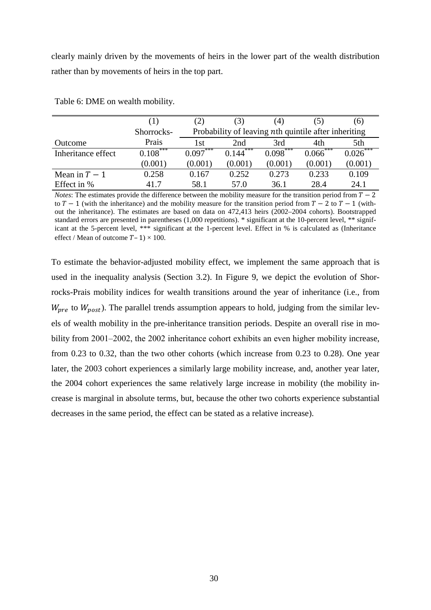clearly mainly driven by the movements of heirs in the lower part of the wealth distribution rather than by movements of heirs in the top part.

|                    | Œ          | $\mathbf{2})$ | (3)        | (4)                                                  |              | (6)        |
|--------------------|------------|---------------|------------|------------------------------------------------------|--------------|------------|
|                    | Shorrocks- |               |            | Probability of leaving nth quintile after inheriting |              |            |
| Outcome            | Prais      | 1st           | 2nd        | 3rd                                                  | 4th          | 5th        |
| Inheritance effect | $0.108***$ | $0.097***$    | $0.144***$ | $0.098***$                                           | ***<br>0.066 | $0.026***$ |
|                    | (0.001)    | (0.001)       | (0.001)    | (0.001)                                              | (0.001)      | (0.001)    |
| Mean in $T-1$      | 0.258      | 0.167         | 0.252      | 0.273                                                | 0.233        | 0.109      |
| Effect in %        | 41.7       | 58.1          | 57.0       | 36.1                                                 | 28.4         | 24.1       |

Table 6: DME on wealth mobility.

*Notes*: The estimates provide the difference between the mobility measure for the transition period from  $T - 2$ to  $T - 1$  (with the inheritance) and the mobility measure for the transition period from  $T - 2$  to  $T - 1$  (without the inheritance). The estimates are based on data on 472,413 heirs (2002–2004 cohorts). Bootstrapped standard errors are presented in parentheses (1,000 repetitions). \* significant at the 10-percent level, \*\* significant at the 5-percent level, \*\*\* significant at the 1-percent level. Effect in % is calculated as (Inheritance effect / Mean of outcome  $T - 1 \times 100$ .

To estimate the behavior-adjusted mobility effect, we implement the same approach that is used in the inequality analysis (Section 3.2). In Figure 9, we depict the evolution of Shorrocks-Prais mobility indices for wealth transitions around the year of inheritance (i.e., from  $W_{\text{pre}}$  to  $W_{\text{post}}$ ). The parallel trends assumption appears to hold, judging from the similar levels of wealth mobility in the pre-inheritance transition periods. Despite an overall rise in mobility from 2001–2002, the 2002 inheritance cohort exhibits an even higher mobility increase, from 0.23 to 0.32, than the two other cohorts (which increase from 0.23 to 0.28). One year later, the 2003 cohort experiences a similarly large mobility increase, and, another year later, the 2004 cohort experiences the same relatively large increase in mobility (the mobility increase is marginal in absolute terms, but, because the other two cohorts experience substantial decreases in the same period, the effect can be stated as a relative increase).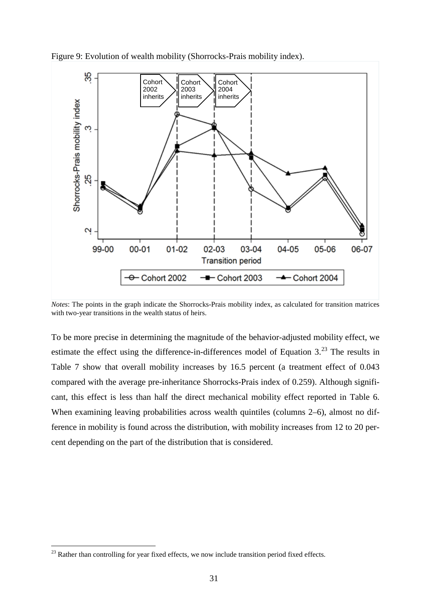

Figure 9: Evolution of wealth mobility (Shorrocks-Prais mobility index).

*Notes*: The points in the graph indicate the Shorrocks-Prais mobility index, as calculated for transition matrices with two-year transitions in the wealth status of heirs.

To be more precise in determining the magnitude of the behavior-adjusted mobility effect, we estimate the effect using the difference-in-differences model of Equation  $3.^{23}$  $3.^{23}$  $3.^{23}$ . The results in Table 7 show that overall mobility increases by 16.5 percent (a treatment effect of 0.043 compared with the average pre-inheritance Shorrocks-Prais index of 0.259). Although significant, this effect is less than half the direct mechanical mobility effect reported in Table 6. When examining leaving probabilities across wealth quintiles (columns 2–6), almost no difference in mobility is found across the distribution, with mobility increases from 12 to 20 percent depending on the part of the distribution that is considered.

<u>.</u>

<span id="page-32-0"></span> $23$  Rather than controlling for year fixed effects, we now include transition period fixed effects.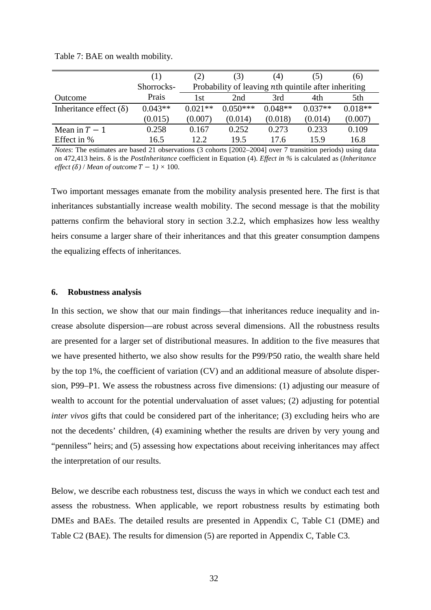|                               | (1)        | (2)       | (3)                                                  | (4)       | (5)       | (6)       |
|-------------------------------|------------|-----------|------------------------------------------------------|-----------|-----------|-----------|
|                               | Shorrocks- |           | Probability of leaving nth quintile after inheriting |           |           |           |
| Outcome                       | Prais      | l st      | 2nd                                                  | 3rd       | 4th       | 5th       |
| Inheritance effect $(\delta)$ | $0.043**$  | $0.021**$ | $0.050***$                                           | $0.048**$ | $0.037**$ | $0.018**$ |
|                               | (0.015)    | (0.007)   | (0.014)                                              | (0.018)   | (0.014)   | (0.007)   |
| Mean in $T-1$                 | 0.258      | 0.167     | 0.252                                                | 0.273     | 0.233     | 0.109     |
| Effect in %                   | 16.5       | 12.2      | 19.5                                                 | 17.6      | 15.9      | 16.8      |

Table 7: BAE on wealth mobility.

*Notes*: The estimates are based 21 observations (3 cohorts [2002–2004] over 7 transition periods) using data on 472,413 heirs. δ is the *PostInheritance* coefficient in Equation (4). *Effect in %* is calculated as (*Inheritance effect* ( $\delta$ ) / *Mean of outcome*  $T - 1$   $\times$  100.

Two important messages emanate from the mobility analysis presented here. The first is that inheritances substantially increase wealth mobility. The second message is that the mobility patterns confirm the behavioral story in section 3.2.2, which emphasizes how less wealthy heirs consume a larger share of their inheritances and that this greater consumption dampens the equalizing effects of inheritances.

#### **6. Robustness analysis**

In this section, we show that our main findings—that inheritances reduce inequality and increase absolute dispersion—are robust across several dimensions. All the robustness results are presented for a larger set of distributional measures. In addition to the five measures that we have presented hitherto, we also show results for the P99/P50 ratio, the wealth share held by the top 1%, the coefficient of variation (CV) and an additional measure of absolute dispersion, P99–P1. We assess the robustness across five dimensions: (1) adjusting our measure of wealth to account for the potential undervaluation of asset values; (2) adjusting for potential *inter vivos* gifts that could be considered part of the inheritance; (3) excluding heirs who are not the decedents' children, (4) examining whether the results are driven by very young and "penniless" heirs; and (5) assessing how expectations about receiving inheritances may affect the interpretation of our results.

Below, we describe each robustness test, discuss the ways in which we conduct each test and assess the robustness. When applicable, we report robustness results by estimating both DMEs and BAEs. The detailed results are presented in Appendix C, Table C1 (DME) and Table C2 (BAE). The results for dimension (5) are reported in Appendix C, Table C3.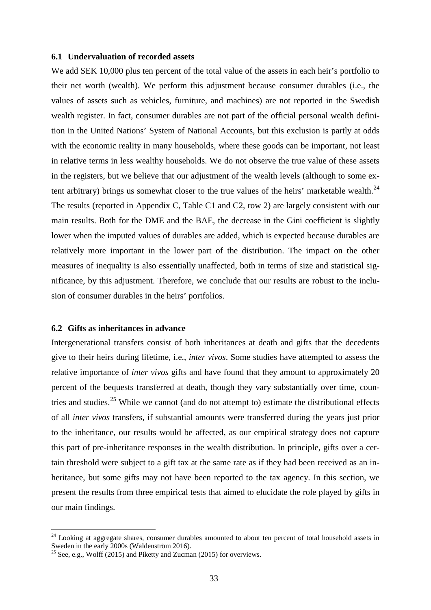#### **6.1 Undervaluation of recorded assets**

We add SEK 10,000 plus ten percent of the total value of the assets in each heir's portfolio to their net worth (wealth). We perform this adjustment because consumer durables (i.e., the values of assets such as vehicles, furniture, and machines) are not reported in the Swedish wealth register. In fact, consumer durables are not part of the official personal wealth definition in the United Nations' System of National Accounts, but this exclusion is partly at odds with the economic reality in many households, where these goods can be important, not least in relative terms in less wealthy households. We do not observe the true value of these assets in the registers, but we believe that our adjustment of the wealth levels (although to some ex-tent arbitrary) brings us somewhat closer to the true values of the heirs' marketable wealth.<sup>[24](#page-34-0)</sup> The results (reported in Appendix C, Table C1 and C2, row 2) are largely consistent with our main results. Both for the DME and the BAE, the decrease in the Gini coefficient is slightly lower when the imputed values of durables are added, which is expected because durables are relatively more important in the lower part of the distribution. The impact on the other measures of inequality is also essentially unaffected, both in terms of size and statistical significance, by this adjustment. Therefore, we conclude that our results are robust to the inclusion of consumer durables in the heirs' portfolios.

#### **6.2 Gifts as inheritances in advance**

-

Intergenerational transfers consist of both inheritances at death and gifts that the decedents give to their heirs during lifetime, i.e., *inter vivos*. Some studies have attempted to assess the relative importance of *inter vivos* gifts and have found that they amount to approximately 20 percent of the bequests transferred at death, though they vary substantially over time, coun-tries and studies.<sup>[25](#page-34-1)</sup> While we cannot (and do not attempt to) estimate the distributional effects of all *inter vivos* transfers, if substantial amounts were transferred during the years just prior to the inheritance, our results would be affected, as our empirical strategy does not capture this part of pre-inheritance responses in the wealth distribution. In principle, gifts over a certain threshold were subject to a gift tax at the same rate as if they had been received as an inheritance, but some gifts may not have been reported to the tax agency. In this section, we present the results from three empirical tests that aimed to elucidate the role played by gifts in our main findings.

<span id="page-34-0"></span><sup>&</sup>lt;sup>24</sup> Looking at aggregate shares, consumer durables amounted to about ten percent of total household assets in Sweden in the early 2000s (Waldenström 2016).

<span id="page-34-1"></span><sup>&</sup>lt;sup>25</sup> See, e.g., Wolff (2015) and Piketty and Zucman (2015) for overviews.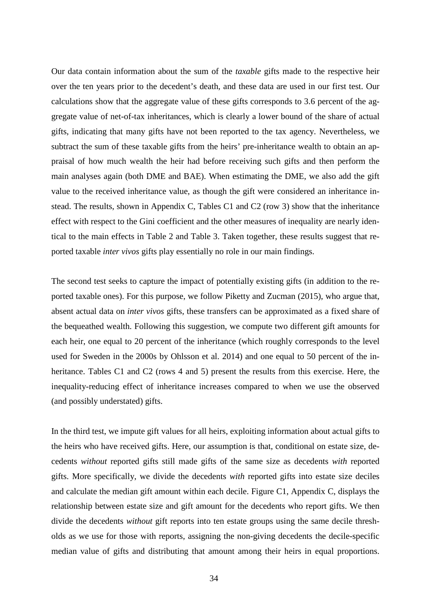Our data contain information about the sum of the *taxable* gifts made to the respective heir over the ten years prior to the decedent's death, and these data are used in our first test. Our calculations show that the aggregate value of these gifts corresponds to 3.6 percent of the aggregate value of net-of-tax inheritances, which is clearly a lower bound of the share of actual gifts, indicating that many gifts have not been reported to the tax agency. Nevertheless, we subtract the sum of these taxable gifts from the heirs' pre-inheritance wealth to obtain an appraisal of how much wealth the heir had before receiving such gifts and then perform the main analyses again (both DME and BAE). When estimating the DME, we also add the gift value to the received inheritance value, as though the gift were considered an inheritance instead. The results, shown in Appendix C, Tables C1 and C2 (row 3) show that the inheritance effect with respect to the Gini coefficient and the other measures of inequality are nearly identical to the main effects in Table 2 and Table 3. Taken together, these results suggest that reported taxable *inter vivos* gifts play essentially no role in our main findings.

The second test seeks to capture the impact of potentially existing gifts (in addition to the reported taxable ones). For this purpose, we follow Piketty and Zucman (2015), who argue that, absent actual data on *inter vivos* gifts, these transfers can be approximated as a fixed share of the bequeathed wealth. Following this suggestion, we compute two different gift amounts for each heir, one equal to 20 percent of the inheritance (which roughly corresponds to the level used for Sweden in the 2000s by Ohlsson et al. 2014) and one equal to 50 percent of the inheritance. Tables C1 and C2 (rows 4 and 5) present the results from this exercise. Here, the inequality-reducing effect of inheritance increases compared to when we use the observed (and possibly understated) gifts.

In the third test, we impute gift values for all heirs, exploiting information about actual gifts to the heirs who have received gifts. Here, our assumption is that, conditional on estate size, decedents *without* reported gifts still made gifts of the same size as decedents *with* reported gifts. More specifically, we divide the decedents *with* reported gifts into estate size deciles and calculate the median gift amount within each decile. Figure C1, Appendix C, displays the relationship between estate size and gift amount for the decedents who report gifts. We then divide the decedents *without* gift reports into ten estate groups using the same decile thresholds as we use for those with reports, assigning the non-giving decedents the decile-specific median value of gifts and distributing that amount among their heirs in equal proportions.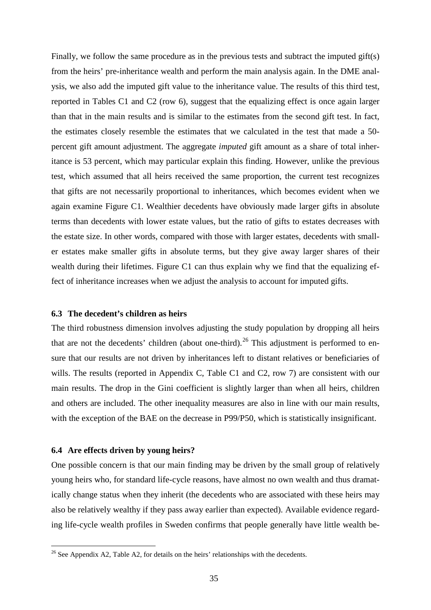Finally, we follow the same procedure as in the previous tests and subtract the imputed gift(s) from the heirs' pre-inheritance wealth and perform the main analysis again. In the DME analysis, we also add the imputed gift value to the inheritance value. The results of this third test, reported in Tables C1 and C2 (row 6), suggest that the equalizing effect is once again larger than that in the main results and is similar to the estimates from the second gift test. In fact, the estimates closely resemble the estimates that we calculated in the test that made a 50 percent gift amount adjustment. The aggregate *imputed* gift amount as a share of total inheritance is 53 percent, which may particular explain this finding. However, unlike the previous test, which assumed that all heirs received the same proportion, the current test recognizes that gifts are not necessarily proportional to inheritances, which becomes evident when we again examine Figure C1. Wealthier decedents have obviously made larger gifts in absolute terms than decedents with lower estate values, but the ratio of gifts to estates decreases with the estate size. In other words, compared with those with larger estates, decedents with smaller estates make smaller gifts in absolute terms, but they give away larger shares of their wealth during their lifetimes. Figure C1 can thus explain why we find that the equalizing effect of inheritance increases when we adjust the analysis to account for imputed gifts.

#### **6.3 The decedent's children as heirs**

The third robustness dimension involves adjusting the study population by dropping all heirs that are not the decedents' children (about one-third).<sup>[26](#page-36-0)</sup> This adjustment is performed to ensure that our results are not driven by inheritances left to distant relatives or beneficiaries of wills. The results (reported in Appendix C, Table C1 and C2, row 7) are consistent with our main results. The drop in the Gini coefficient is slightly larger than when all heirs, children and others are included. The other inequality measures are also in line with our main results, with the exception of the BAE on the decrease in P99/P50, which is statistically insignificant.

#### **6.4 Are effects driven by young heirs?**

<u>.</u>

One possible concern is that our main finding may be driven by the small group of relatively young heirs who, for standard life-cycle reasons, have almost no own wealth and thus dramatically change status when they inherit (the decedents who are associated with these heirs may also be relatively wealthy if they pass away earlier than expected). Available evidence regarding life-cycle wealth profiles in Sweden confirms that people generally have little wealth be-

<span id="page-36-0"></span> $26$  See Appendix A2, Table A2, for details on the heirs' relationships with the decedents.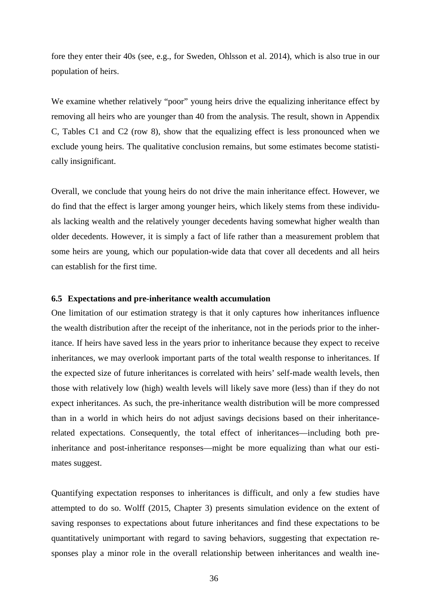fore they enter their 40s (see, e.g., for Sweden, Ohlsson et al. 2014), which is also true in our population of heirs.

We examine whether relatively "poor" young heirs drive the equalizing inheritance effect by removing all heirs who are younger than 40 from the analysis. The result, shown in Appendix C, Tables C1 and C2 (row 8), show that the equalizing effect is less pronounced when we exclude young heirs. The qualitative conclusion remains, but some estimates become statistically insignificant.

Overall, we conclude that young heirs do not drive the main inheritance effect. However, we do find that the effect is larger among younger heirs, which likely stems from these individuals lacking wealth and the relatively younger decedents having somewhat higher wealth than older decedents. However, it is simply a fact of life rather than a measurement problem that some heirs are young, which our population-wide data that cover all decedents and all heirs can establish for the first time.

#### **6.5 Expectations and pre-inheritance wealth accumulation**

One limitation of our estimation strategy is that it only captures how inheritances influence the wealth distribution after the receipt of the inheritance, not in the periods prior to the inheritance. If heirs have saved less in the years prior to inheritance because they expect to receive inheritances, we may overlook important parts of the total wealth response to inheritances. If the expected size of future inheritances is correlated with heirs' self-made wealth levels, then those with relatively low (high) wealth levels will likely save more (less) than if they do not expect inheritances. As such, the pre-inheritance wealth distribution will be more compressed than in a world in which heirs do not adjust savings decisions based on their inheritancerelated expectations. Consequently, the total effect of inheritances—including both preinheritance and post-inheritance responses—might be more equalizing than what our estimates suggest.

Quantifying expectation responses to inheritances is difficult, and only a few studies have attempted to do so. Wolff (2015, Chapter 3) presents simulation evidence on the extent of saving responses to expectations about future inheritances and find these expectations to be quantitatively unimportant with regard to saving behaviors, suggesting that expectation responses play a minor role in the overall relationship between inheritances and wealth ine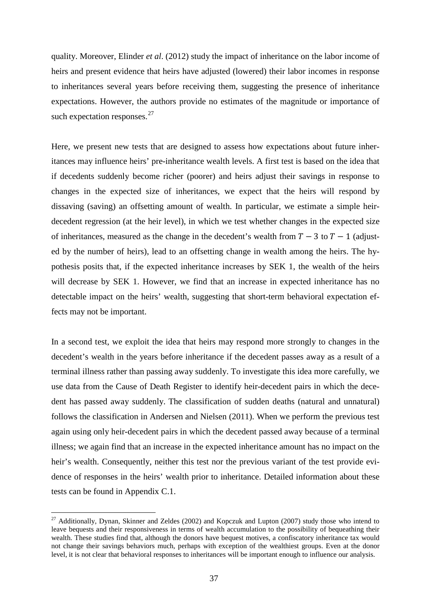quality. Moreover, Elinder *et al*. (2012) study the impact of inheritance on the labor income of heirs and present evidence that heirs have adjusted (lowered) their labor incomes in response to inheritances several years before receiving them, suggesting the presence of inheritance expectations. However, the authors provide no estimates of the magnitude or importance of such expectation responses. $27$ 

Here, we present new tests that are designed to assess how expectations about future inheritances may influence heirs' pre-inheritance wealth levels. A first test is based on the idea that if decedents suddenly become richer (poorer) and heirs adjust their savings in response to changes in the expected size of inheritances, we expect that the heirs will respond by dissaving (saving) an offsetting amount of wealth. In particular, we estimate a simple heirdecedent regression (at the heir level), in which we test whether changes in the expected size of inheritances, measured as the change in the decedent's wealth from  $T - 3$  to  $T - 1$  (adjusted by the number of heirs), lead to an offsetting change in wealth among the heirs. The hypothesis posits that, if the expected inheritance increases by SEK 1, the wealth of the heirs will decrease by SEK 1. However, we find that an increase in expected inheritance has no detectable impact on the heirs' wealth, suggesting that short-term behavioral expectation effects may not be important.

In a second test, we exploit the idea that heirs may respond more strongly to changes in the decedent's wealth in the years before inheritance if the decedent passes away as a result of a terminal illness rather than passing away suddenly. To investigate this idea more carefully, we use data from the Cause of Death Register to identify heir-decedent pairs in which the decedent has passed away suddenly. The classification of sudden deaths (natural and unnatural) follows the classification in Andersen and Nielsen (2011). When we perform the previous test again using only heir-decedent pairs in which the decedent passed away because of a terminal illness; we again find that an increase in the expected inheritance amount has no impact on the heir's wealth. Consequently, neither this test nor the previous variant of the test provide evidence of responses in the heirs' wealth prior to inheritance. Detailed information about these tests can be found in Appendix C.1.

<u>.</u>

<span id="page-38-0"></span> $27$  Additionally, Dynan, Skinner and Zeldes (2002) and Kopczuk and Lupton (2007) study those who intend to leave bequests and their responsiveness in terms of wealth accumulation to the possibility of bequeathing their wealth. These studies find that, although the donors have bequest motives, a confiscatory inheritance tax would not change their savings behaviors much, perhaps with exception of the wealthiest groups. Even at the donor level, it is not clear that behavioral responses to inheritances will be important enough to influence our analysis.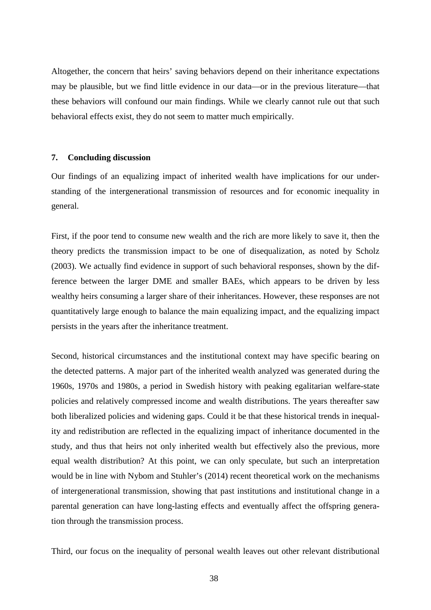Altogether, the concern that heirs' saving behaviors depend on their inheritance expectations may be plausible, but we find little evidence in our data—or in the previous literature—that these behaviors will confound our main findings. While we clearly cannot rule out that such behavioral effects exist, they do not seem to matter much empirically.

#### **7. Concluding discussion**

Our findings of an equalizing impact of inherited wealth have implications for our understanding of the intergenerational transmission of resources and for economic inequality in general.

First, if the poor tend to consume new wealth and the rich are more likely to save it, then the theory predicts the transmission impact to be one of disequalization, as noted by Scholz (2003). We actually find evidence in support of such behavioral responses, shown by the difference between the larger DME and smaller BAEs, which appears to be driven by less wealthy heirs consuming a larger share of their inheritances. However, these responses are not quantitatively large enough to balance the main equalizing impact, and the equalizing impact persists in the years after the inheritance treatment.

Second, historical circumstances and the institutional context may have specific bearing on the detected patterns. A major part of the inherited wealth analyzed was generated during the 1960s, 1970s and 1980s, a period in Swedish history with peaking egalitarian welfare-state policies and relatively compressed income and wealth distributions. The years thereafter saw both liberalized policies and widening gaps. Could it be that these historical trends in inequality and redistribution are reflected in the equalizing impact of inheritance documented in the study, and thus that heirs not only inherited wealth but effectively also the previous, more equal wealth distribution? At this point, we can only speculate, but such an interpretation would be in line with Nybom and Stuhler's (2014) recent theoretical work on the mechanisms of intergenerational transmission, showing that past institutions and institutional change in a parental generation can have long-lasting effects and eventually affect the offspring generation through the transmission process.

Third, our focus on the inequality of personal wealth leaves out other relevant distributional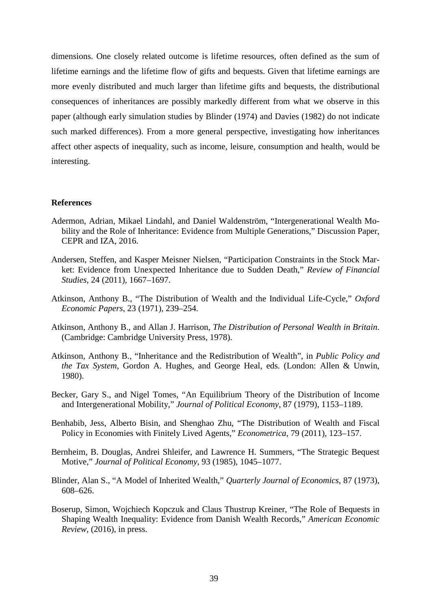dimensions. One closely related outcome is lifetime resources, often defined as the sum of lifetime earnings and the lifetime flow of gifts and bequests. Given that lifetime earnings are more evenly distributed and much larger than lifetime gifts and bequests, the distributional consequences of inheritances are possibly markedly different from what we observe in this paper (although early simulation studies by Blinder (1974) and Davies (1982) do not indicate such marked differences). From a more general perspective, investigating how inheritances affect other aspects of inequality, such as income, leisure, consumption and health, would be interesting.

#### **References**

- Adermon, Adrian, Mikael Lindahl, and Daniel Waldenström, "Intergenerational Wealth Mobility and the Role of Inheritance: Evidence from Multiple Generations," Discussion Paper, CEPR and IZA, 2016.
- Andersen, Steffen, and Kasper Meisner Nielsen, "Participation Constraints in the Stock Market: Evidence from Unexpected Inheritance due to Sudden Death," *Review of Financial Studies*, 24 (2011), 1667–1697.
- Atkinson, Anthony B., "The Distribution of Wealth and the Individual Life-Cycle," *Oxford Economic Papers*, 23 (1971), 239–254.
- Atkinson, Anthony B., and Allan J. Harrison, *The Distribution of Personal Wealth in Britain*. (Cambridge: Cambridge University Press, 1978).
- Atkinson, Anthony B., "Inheritance and the Redistribution of Wealth", in *Public Policy and the Tax System*, Gordon A. Hughes, and George Heal, eds. (London: Allen & Unwin, 1980).
- Becker, Gary S., and Nigel Tomes, "An Equilibrium Theory of the Distribution of Income and Intergenerational Mobility," *Journal of Political Economy*, 87 (1979), 1153–1189.
- Benhabib, Jess, Alberto Bisin, and Shenghao Zhu, "The Distribution of Wealth and Fiscal Policy in Economies with Finitely Lived Agents," *Econometrica*, 79 (2011), 123–157.
- Bernheim, B. Douglas, Andrei Shleifer, and Lawrence H. Summers, "The Strategic Bequest Motive," *Journal of Political Economy*, 93 (1985), 1045–1077.
- Blinder, Alan S., "A Model of Inherited Wealth," *Quarterly Journal of Economics*, 87 (1973), 608–626.
- Boserup, Simon, Wojchiech Kopczuk and Claus Thustrup Kreiner, "The Role of Bequests in Shaping Wealth Inequality: Evidence from Danish Wealth Records," *American Economic Review*, (2016), in press.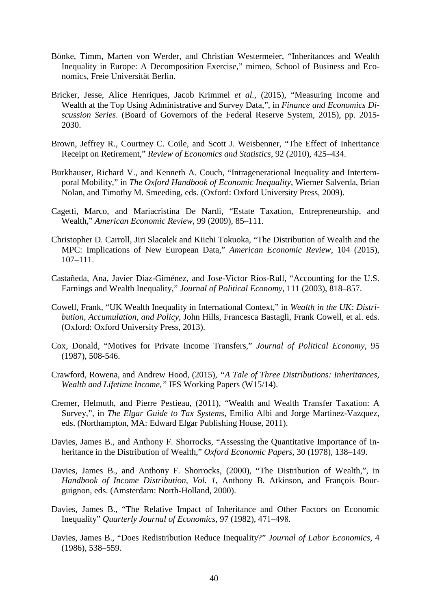- Bönke, Timm, Marten von Werder, and Christian Westermeier, "Inheritances and Wealth Inequality in Europe: A Decomposition Exercise," mimeo, School of Business and Economics, Freie Universität Berlin.
- Bricker, Jesse, Alice Henriques, Jacob Krimmel *et al.*, (2015), "Measuring Income and Wealth at the Top Using Administrative and Survey Data,", in *Finance and Economics Discussion Series*. (Board of Governors of the Federal Reserve System, 2015), pp. 2015- 2030.
- Brown, Jeffrey R., Courtney C. Coile, and Scott J. Weisbenner, "The Effect of Inheritance Receipt on Retirement," *Review of Economics and Statistics*, 92 (2010), 425–434.
- Burkhauser, Richard V., and Kenneth A. Couch, "Intragenerational Inequality and Intertemporal Mobility," in *The Oxford Handbook of Economic Inequality*, Wiemer Salverda, Brian Nolan, and Timothy M. Smeeding, eds. (Oxford: Oxford University Press, 2009).
- Cagetti, Marco, and Mariacristina De Nardi, "Estate Taxation, Entrepreneurship, and Wealth," *American Economic Review*, 99 (2009), 85–111.
- Christopher D. Carroll, Jiri Slacalek and Kiichi Tokuoka, "The Distribution of Wealth and the MPC: Implications of New European Data," *American Economic Review*, 104 (2015), 107–111.
- Castañeda, Ana, Javier Díaz-Giménez, and Jose-Victor Ríos-Rull, "Accounting for the U.S. Earnings and Wealth Inequality," *Journal of Political Economy*, 111 (2003), 818–857.
- Cowell, Frank, "UK Wealth Inequality in International Context," in *Wealth in the UK: Distribution, Accumulation, and Policy*, John Hills, Francesca Bastagli, Frank Cowell, et al. eds. (Oxford: Oxford University Press, 2013).
- Cox, Donald, "Motives for Private Income Transfers," *Journal of Political Economy*, 95 (1987), 508-546.
- Crawford, Rowena, and Andrew Hood, (2015), *"A Tale of Three Distributions: Inheritances, Wealth and Lifetime Income,"* IFS Working Papers (W15/14).
- Cremer, Helmuth, and Pierre Pestieau, (2011), "Wealth and Wealth Transfer Taxation: A Survey,", in *The Elgar Guide to Tax Systems,* Emilio Albi and Jorge Martinez-Vazquez, eds. (Northampton, MA: Edward Elgar Publishing House, 2011).
- Davies, James B., and Anthony F. Shorrocks, "Assessing the Quantitative Importance of Inheritance in the Distribution of Wealth," *Oxford Economic Papers*, 30 (1978), 138–149.
- Davies, James B., and Anthony F. Shorrocks, (2000), "The Distribution of Wealth,", in *Handbook of Income Distribution, Vol. 1*, Anthony B. Atkinson, and François Bourguignon, eds. (Amsterdam: North-Holland, 2000).
- Davies, James B., "The Relative Impact of Inheritance and Other Factors on Economic Inequality" *Quarterly Journal of Economics*, 97 (1982), 471‒498.
- Davies, James B., "Does Redistribution Reduce Inequality?" *Journal of Labor Economics*, 4 (1986), 538–559.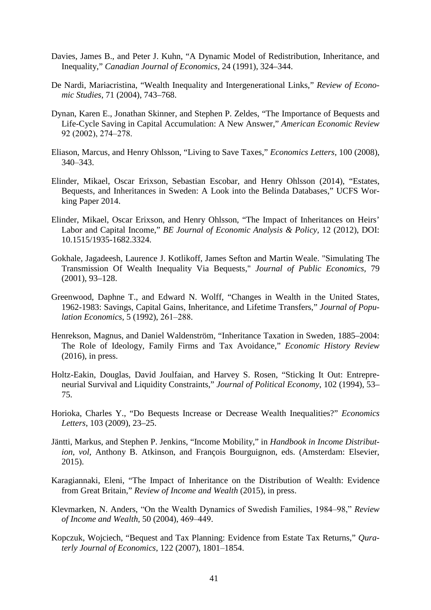- Davies, James B., and Peter J. Kuhn, "A Dynamic Model of Redistribution, Inheritance, and Inequality," *Canadian Journal of Economics*, 24 (1991), 324–344.
- De Nardi, Mariacristina, "Wealth Inequality and Intergenerational Links," *Review of Economic Studies*, 71 (2004), 743–768.
- Dynan, Karen E., Jonathan Skinner, and Stephen P. Zeldes, "The Importance of Bequests and Life-Cycle Saving in Capital Accumulation: A New Answer," *American Economic Review* 92 (2002), 274‒278.
- Eliason, Marcus, and Henry Ohlsson, "Living to Save Taxes," *Economics Letters*, 100 (2008), 340‒343.
- Elinder, Mikael, Oscar Erixson, Sebastian Escobar, and Henry Ohlsson (2014), "Estates, Bequests, and Inheritances in Sweden: A Look into the Belinda Databases," UCFS Working Paper 2014.
- Elinder, Mikael, Oscar Erixson, and Henry Ohlsson, "The Impact of Inheritances on Heirs' Labor and Capital Income," *BE Journal of Economic Analysis & Policy,* 12 (2012), DOI: 10.1515/1935-1682.3324.
- Gokhale, Jagadeesh, Laurence J. Kotlikoff, James Sefton and Martin Weale. "Simulating The Transmission Of Wealth Inequality Via Bequests," *Journal of Public Economics,* 79 (2001), 93–128.
- Greenwood, Daphne T., and Edward N. Wolff, "Changes in Wealth in the United States, 1962-1983: Savings, Capital Gains, Inheritance, and Lifetime Transfers," *Journal of Population Economics*, 5 (1992), 261-288.
- Henrekson, Magnus, and Daniel Waldenström, "Inheritance Taxation in Sweden, 1885–2004: The Role of Ideology, Family Firms and Tax Avoidance," *Economic History Review* (2016), in press.
- Holtz-Eakin, Douglas, David Joulfaian, and Harvey S. Rosen, "Sticking It Out: Entrepreneurial Survival and Liquidity Constraints," *Journal of Political Economy*, 102 (1994), 53– 75.
- Horioka, Charles Y., "Do Bequests Increase or Decrease Wealth Inequalities?" *Economics Letters*, 103 (2009), 23–25.
- Jäntti, Markus, and Stephen P. Jenkins, "Income Mobility," in *Handbook in Income Distribution, vol*, Anthony B. Atkinson, and François Bourguignon, eds. (Amsterdam: Elsevier, 2015).
- Karagiannaki, Eleni, "The Impact of Inheritance on the Distribution of Wealth: Evidence from Great Britain," *Review of Income and Wealth* (2015), in press.
- Klevmarken, N. Anders, "On the Wealth Dynamics of Swedish Families, 1984‒98," *Review of Income and Wealth*, 50 (2004), 469‒449.
- Kopczuk, Wojciech, "Bequest and Tax Planning: Evidence from Estate Tax Returns," *Quraterly Journal of Economics*, 122 (2007), 1801–1854.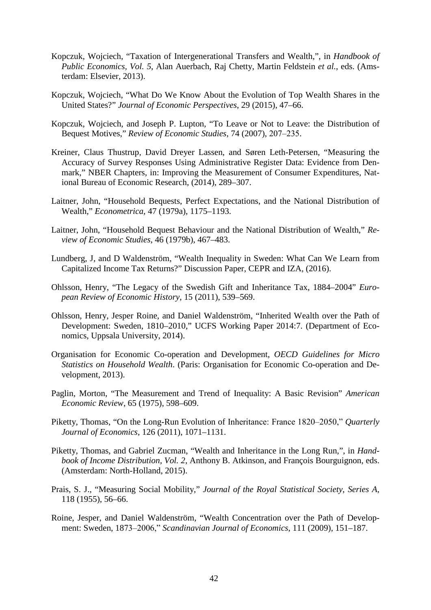- Kopczuk, Wojciech, "Taxation of Intergenerational Transfers and Wealth,", in *Handbook of Public Economics, Vol. 5*, Alan Auerbach, Raj Chetty, Martin Feldstein *et al.*, eds. (Amsterdam: Elsevier, 2013).
- Kopczuk, Wojciech, "What Do We Know About the Evolution of Top Wealth Shares in the United States?" *Journal of Economic Perspectives*, 29 (2015), 47–66.
- Kopczuk, Wojciech, and Joseph P. Lupton, "To Leave or Not to Leave: the Distribution of Bequest Motives," *Review of Economic Studies*, 74 (2007), 207–235.
- Kreiner, Claus Thustrup, David Dreyer Lassen, and Søren Leth-Petersen, "Measuring the Accuracy of Survey Responses Using Administrative Register Data: Evidence from Denmark," NBER Chapters, in: Improving the Measurement of Consumer Expenditures, National Bureau of Economic Research, (2014), 289–307.
- Laitner, John, "Household Bequests, Perfect Expectations, and the National Distribution of Wealth," *Econometrica*, 47 (1979a), 1175–1193.
- Laitner, John, "Household Bequest Behaviour and the National Distribution of Wealth," *Review of Economic Studies*, 46 (1979b), 467–483.
- Lundberg, J, and D Waldenström, "Wealth Inequality in Sweden: What Can We Learn from Capitalized Income Tax Returns?" Discussion Paper, CEPR and IZA, (2016).
- Ohlsson, Henry, "The Legacy of the Swedish Gift and Inheritance Tax, 1884–2004" *European Review of Economic History*, 15 (2011), 539–569.
- Ohlsson, Henry, Jesper Roine, and Daniel Waldenström, "Inherited Wealth over the Path of Development: Sweden, 1810–2010," UCFS Working Paper 2014:7. (Department of Economics, Uppsala University, 2014).
- Organisation for Economic Co-operation and Development, *OECD Guidelines for Micro Statistics on Household Wealth*. (Paris: Organisation for Economic Co-operation and Development, 2013).
- Paglin, Morton, "The Measurement and Trend of Inequality: A Basic Revision" *American Economic Review*, 65 (1975), 598–609.
- Piketty, Thomas, "On the Long-Run Evolution of Inheritance: France 1820–2050," *Quarterly Journal of Economics*, 126 (2011), 1071–1131.
- Piketty, Thomas, and Gabriel Zucman, "Wealth and Inheritance in the Long Run,", in *Handbook of Income Distribution, Vol. 2*, Anthony B. Atkinson, and François Bourguignon, eds. (Amsterdam: North-Holland, 2015).
- Prais, S. J., "Measuring Social Mobility," *Journal of the Royal Statistical Society, Series A*, 118 (1955), 56–66.
- Roine, Jesper, and Daniel Waldenström, "Wealth Concentration over the Path of Development: Sweden, 1873‒2006," *Scandinavian Journal of Economics*, 111 (2009), 151–187.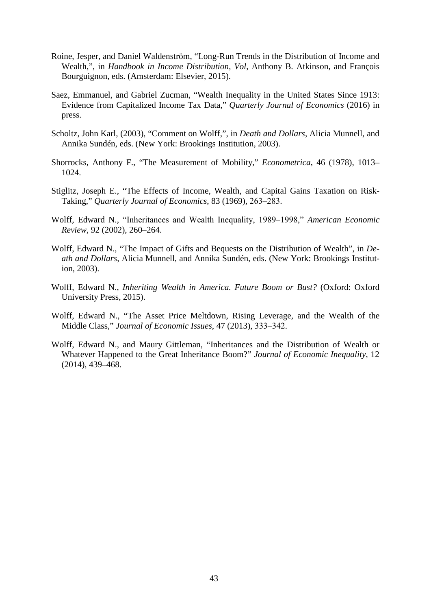- Roine, Jesper, and Daniel Waldenström, "Long-Run Trends in the Distribution of Income and Wealth,", in *Handbook in Income Distribution, Vol*, Anthony B. Atkinson, and François Bourguignon, eds. (Amsterdam: Elsevier, 2015).
- Saez, Emmanuel, and Gabriel Zucman, "Wealth Inequality in the United States Since 1913: Evidence from Capitalized Income Tax Data," *Quarterly Journal of Economics* (2016) in press.
- Scholtz, John Karl, (2003), "Comment on Wolff,", in *Death and Dollars*, Alicia Munnell, and Annika Sundén, eds. (New York: Brookings Institution, 2003).
- Shorrocks, Anthony F., "The Measurement of Mobility," *Econometrica*, 46 (1978), 1013– 1024.
- Stiglitz, Joseph E., "The Effects of Income, Wealth, and Capital Gains Taxation on Risk-Taking," *Quarterly Journal of Economics*, 83 (1969), 263–283.
- Wolff, Edward N., "Inheritances and Wealth Inequality, 1989-1998," American Economic *Review,* 92 (2002), 260–264.
- Wolff, Edward N., "The Impact of Gifts and Bequests on the Distribution of Wealth", in *Death and Dollars*, Alicia Munnell, and Annika Sundén, eds. (New York: Brookings Institution, 2003).
- Wolff, Edward N., *Inheriting Wealth in America. Future Boom or Bust?* (Oxford: Oxford University Press, 2015).
- Wolff, Edward N., "The Asset Price Meltdown, Rising Leverage, and the Wealth of the Middle Class," *Journal of Economic Issues*, 47 (2013), 333‒342.
- Wolff, Edward N., and Maury Gittleman, "Inheritances and the Distribution of Wealth or Whatever Happened to the Great Inheritance Boom?" *Journal of Economic Inequality*, 12 (2014), 439–468.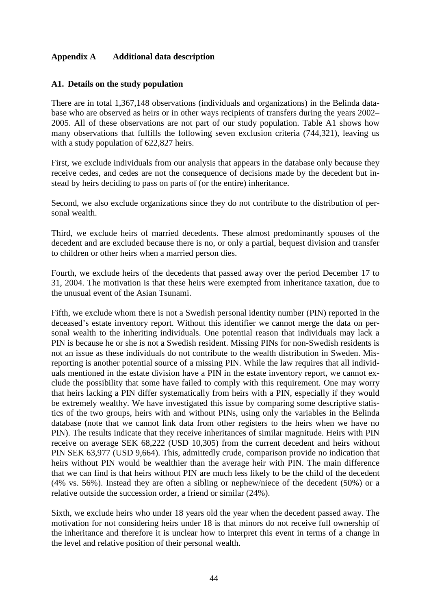#### **Appendix A Additional data description**

#### **A1. Details on the study population**

There are in total 1,367,148 observations (individuals and organizations) in the Belinda database who are observed as heirs or in other ways recipients of transfers during the years 2002– 2005. All of these observations are not part of our study population. Table A1 shows how many observations that fulfills the following seven exclusion criteria (744,321), leaving us with a study population of 622,827 heirs.

First, we exclude individuals from our analysis that appears in the database only because they receive cedes, and cedes are not the consequence of decisions made by the decedent but instead by heirs deciding to pass on parts of (or the entire) inheritance.

Second, we also exclude organizations since they do not contribute to the distribution of personal wealth.

Third, we exclude heirs of married decedents. These almost predominantly spouses of the decedent and are excluded because there is no, or only a partial, bequest division and transfer to children or other heirs when a married person dies.

Fourth, we exclude heirs of the decedents that passed away over the period December 17 to 31, 2004. The motivation is that these heirs were exempted from inheritance taxation, due to the unusual event of the Asian Tsunami.

Fifth, we exclude whom there is not a Swedish personal identity number (PIN) reported in the deceased's estate inventory report. Without this identifier we cannot merge the data on personal wealth to the inheriting individuals. One potential reason that individuals may lack a PIN is because he or she is not a Swedish resident. Missing PINs for non-Swedish residents is not an issue as these individuals do not contribute to the wealth distribution in Sweden. Misreporting is another potential source of a missing PIN. While the law requires that all individuals mentioned in the estate division have a PIN in the estate inventory report, we cannot exclude the possibility that some have failed to comply with this requirement. One may worry that heirs lacking a PIN differ systematically from heirs with a PIN, especially if they would be extremely wealthy. We have investigated this issue by comparing some descriptive statistics of the two groups, heirs with and without PINs, using only the variables in the Belinda database (note that we cannot link data from other registers to the heirs when we have no PIN). The results indicate that they receive inheritances of similar magnitude. Heirs with PIN receive on average SEK 68,222 (USD 10,305) from the current decedent and heirs without PIN SEK 63,977 (USD 9,664). This, admittedly crude, comparison provide no indication that heirs without PIN would be wealthier than the average heir with PIN. The main difference that we can find is that heirs without PIN are much less likely to be the child of the decedent (4% vs. 56%). Instead they are often a sibling or nephew/niece of the decedent (50%) or a relative outside the succession order, a friend or similar (24%).

Sixth, we exclude heirs who under 18 years old the year when the decedent passed away. The motivation for not considering heirs under 18 is that minors do not receive full ownership of the inheritance and therefore it is unclear how to interpret this event in terms of a change in the level and relative position of their personal wealth.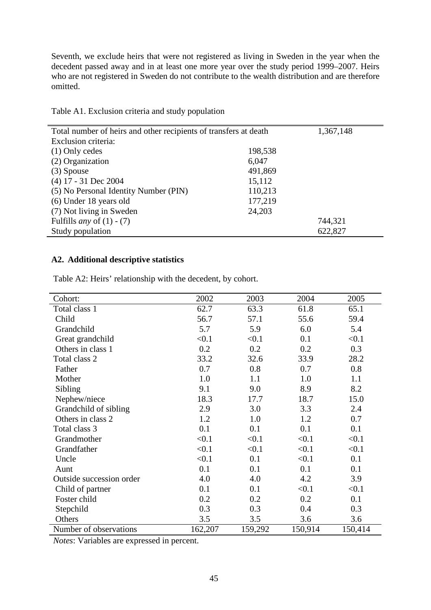Seventh, we exclude heirs that were not registered as living in Sweden in the year when the decedent passed away and in at least one more year over the study period 1999–2007. Heirs who are not registered in Sweden do not contribute to the wealth distribution and are therefore omitted.

| Total number of heirs and other recipients of transfers at death |         | 1,367,148 |
|------------------------------------------------------------------|---------|-----------|
| Exclusion criteria:                                              |         |           |
| $(1)$ Only cedes                                                 | 198,538 |           |
| (2) Organization                                                 | 6,047   |           |
| $(3)$ Spouse                                                     | 491,869 |           |
| $(4)$ 17 - 31 Dec 2004                                           | 15,112  |           |
| (5) No Personal Identity Number (PIN)                            | 110,213 |           |
| (6) Under 18 years old                                           | 177,219 |           |
| (7) Not living in Sweden                                         | 24,203  |           |
| Fulfills <i>any</i> of $(1) - (7)$                               |         | 744,321   |
| Study population                                                 |         | 622,827   |

Table A1. Exclusion criteria and study population

### **A2. Additional descriptive statistics**

| 2002    | 2003    | 2004    | 2005    |
|---------|---------|---------|---------|
| 62.7    | 63.3    | 61.8    | 65.1    |
| 56.7    | 57.1    | 55.6    | 59.4    |
| 5.7     | 5.9     | 6.0     | 5.4     |
| < 0.1   | < 0.1   | 0.1     | < 0.1   |
| 0.2     | 0.2     | 0.2     | 0.3     |
| 33.2    | 32.6    | 33.9    | 28.2    |
| 0.7     | 0.8     | 0.7     | 0.8     |
| 1.0     | 1.1     | 1.0     | 1.1     |
| 9.1     | 9.0     | 8.9     | 8.2     |
| 18.3    | 17.7    | 18.7    | 15.0    |
| 2.9     | 3.0     | 3.3     | 2.4     |
| 1.2     | 1.0     | 1.2     | 0.7     |
| 0.1     | 0.1     | 0.1     | 0.1     |
| < 0.1   | < 0.1   | < 0.1   | < 0.1   |
| < 0.1   | < 0.1   | < 0.1   | < 0.1   |
| < 0.1   | 0.1     | < 0.1   | 0.1     |
| 0.1     | 0.1     | 0.1     | 0.1     |
| 4.0     | 4.0     | 4.2     | 3.9     |
| 0.1     | 0.1     | < 0.1   | < 0.1   |
| 0.2     | 0.2     | 0.2     | 0.1     |
| 0.3     | 0.3     | 0.4     | 0.3     |
| 3.5     | 3.5     | 3.6     | 3.6     |
| 162,207 | 159,292 | 150,914 | 150,414 |
|         |         |         |         |

Table A2: Heirs' relationship with the decedent, by cohort.

*Notes*: Variables are expressed in percent.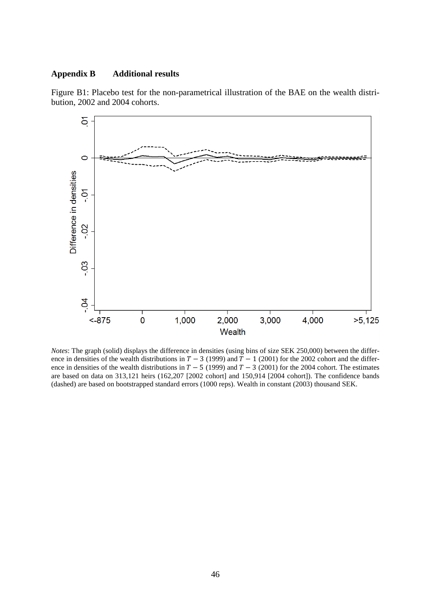#### **Appendix B Additional results**



Figure B1: Placebo test for the non-parametrical illustration of the BAE on the wealth distribution, 2002 and 2004 cohorts.

*Notes*: The graph (solid) displays the difference in densities (using bins of size SEK 250,000) between the difference in densities of the wealth distributions in  $T - 3$  (1999) and  $T - 1$  (2001) for the 2002 cohort and the difference in densities of the wealth distributions in  $T - 5$  (1999) and  $T - 3$  (2001) for the 2004 cohort. The estimates are based on data on 313,121 heirs (162,207 [2002 cohort] and 150,914 [2004 cohort]). The confidence bands (dashed) are based on bootstrapped standard errors (1000 reps). Wealth in constant (2003) thousand SEK.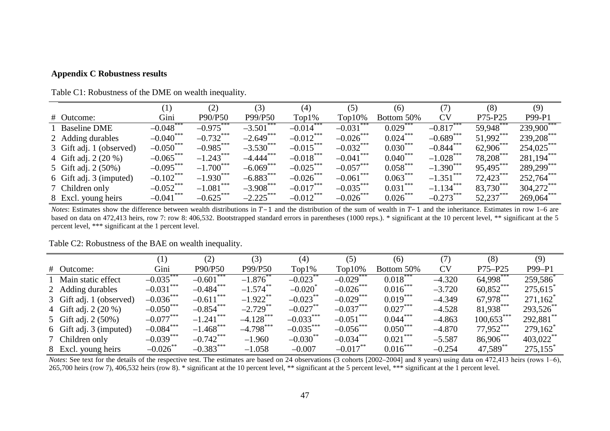#### **Appendix C Robustness results**

| Table C1: Robustness of the DME on wealth inequality. |  |  |  |  |  |  |
|-------------------------------------------------------|--|--|--|--|--|--|
|                                                       |  |  |  |  |  |  |

|                          | (1)                   | (2)          | (3)                     | (4)          | (5)                   | (6)                  | (7)                   | (8)         | (9)          |
|--------------------------|-----------------------|--------------|-------------------------|--------------|-----------------------|----------------------|-----------------------|-------------|--------------|
| # Outcome:               | Gini                  | P90/P50      | P99/P50                 | $Top1\%$     | $Top10\%$             | Bottom 50%           | <b>CV</b>             | P75-P25     | P99-P1       |
| 1 Baseline DME           | $-0.048$ <sup>*</sup> | $-0.975***$  | $-3.501$ ***            | $-0.014$ *** | $-0.031$              | $0.029$ <sup>*</sup> | $-0.817***$           | 59.948      | 239,900***   |
| 2 Adding durables        | $-0.040$ ***          | $-0.732$ *** | $-2.649$ ***            | $-0.012$ *** | $-0.026$ ***          | $0.024***$           | $-0.689$ ***          | 51,992***   | 239,208***   |
| 3 Gift adj. 1 (observed) | $-0.050$ ***          | $-0.985***$  | $-3.530***$             | $-0.015***$  | $-0.032$ ***          | $0.030***$           | $-0.844$ ***          | 62,906***   | $254,025***$ |
| 4 Gift adj. 2 (20 %)     | $-0.065***$           | $-1.243***$  | $-4.444$ <sup>***</sup> | $-0.018***$  | $-0.041$ ***          | $0.040***$           | $-1.028***$           | 78,208***   | $281,194***$ |
| 5 Gift adj. 2 (50%)      | $-0.095***$           | $-1.700***$  | $-6.069***$             | $-0.025***$  | $-0.057***$           | $0.058***$           | $-1.390***$           | 95,495***   | 289,299***   |
| 6 Gift adj. 3 (imputed)  | $-0.102$ ***          | $-1.930***$  | $-6.883***$             | $-0.026$ *** | $-0.061$ ***          | $0.063***$           | $-1.351$ ***          | $72,423***$ | $252,764***$ |
| 7 Children only          | $-0.052$ ***          | $-1.081$ *** | $-3.908***$             | $-0.017***$  | $-0.035***$           | $0.031***$           | $-1.134***$           | 83,730      | $304,272***$ |
| 8 Excl. young heirs      | $-0.041$ ***          | $-0.625***$  | $-2.225***$             | $-0.012$ *** | $-0.026$ <sup>*</sup> | $0.026***$           | $-0.273$ <sup>*</sup> | 52,237***   | $269,064***$ |

*Notes*: Estimates show the difference between wealth distributions in  $T-1$  and the distribution of the sum of wealth in  $T-1$  and the inheritance. Estimates in row 1–6 are based on data on 472,413 heirs, row 7: row 8: 406,532. Bootstrapped standard errors in parentheses (1000 reps.). \* significant at the 10 percent level, \*\* significant at the 5 percent level, \*\*\* significant at the 1 percent level.

|                          | $\left( 1\right)$     | (2)          | (3)          | (4)                   | (5)          | (6)        | (7)       | (8)                 | (9)             |
|--------------------------|-----------------------|--------------|--------------|-----------------------|--------------|------------|-----------|---------------------|-----------------|
| # Outcome:               | Gini                  | P90/P50      | P99/P50      | $Top1\%$              | $Top10\%$    | Bottom 50% | <b>CV</b> | $P75 - P25$         | $P99-P1$        |
| 1 Main static effect     | $-0.035$ ***          | $-0.601***$  | $-1.876$     | $-0.023$ **           | $-0.029$ *** | $0.018***$ | $-4.320$  | 64,998***           | 259,586         |
| 2 Adding durables        | $-0.031***$           | $-0.484***$  | $-1.574$ **  | $-0.020$ <sup>*</sup> | $-0.026$ *** | $0.016***$ | $-3.720$  | $60.852***$         | 275,615         |
| 3 Gift adj. 1 (observed) | $-0.036$ ***          | $-0.611***$  | $-1.922$ **  | $-0.023$ **           | $-0.029***$  | $0.019***$ | $-4.349$  | 67,978***           | $271,162^*$     |
| 4 Gift adj. 2 (20 %)     | $-0.050***$           | $-0.854***$  | $-2.729$ **  | $-0.027$ **           | $-0.037***$  | $0.027***$ | $-4.528$  | 81,938***           | 293,526         |
| 5 Gift adj. 2 (50%)      | $-0.077***$           | $-1.241$ *** | $-4.128$ *** | $-0.033***$           | $-0.051$ *** | $0.044***$ | $-4.863$  | $100,653$ ***       | $292,881$ **    |
| 6 Gift adj. 3 (imputed)  | $-0.084***$           | $-1.468$ *** | $-4.798$ *** | $-0.035***$           | $-0.056$ *** | $0.050***$ | $-4.870$  | 77,952***           | $279,162^\circ$ |
| 7 Children only          | $-0.039***$           | $-0.742$ *** | $-1.960$     | $-0.030$ **           | $-0.034***$  | $0.021***$ | $-5.587$  | 86,906***           | $403,022$ **    |
| 8 Excl. young heirs      | $-0.026$ <sup>*</sup> | $-0.383***$  | $-1.058$     | $-0.007$              | $-0.017$     | $0.016***$ | $-0.254$  | 47,589 <sup>°</sup> | 275,155         |

Table C2: Robustness of the BAE on wealth inequality.

*Notes*: See text for the details of the respective test. The estimates are based on 24 observations (3 cohorts [2002–2004] and 8 years) using data on 472,413 heirs (rows 1–6), 265,700 heirs (row 7), 406,532 heirs (row 8). \* significant at the 10 percent level, \*\* significant at the 5 percent level, \*\*\* significant at the 1 percent level.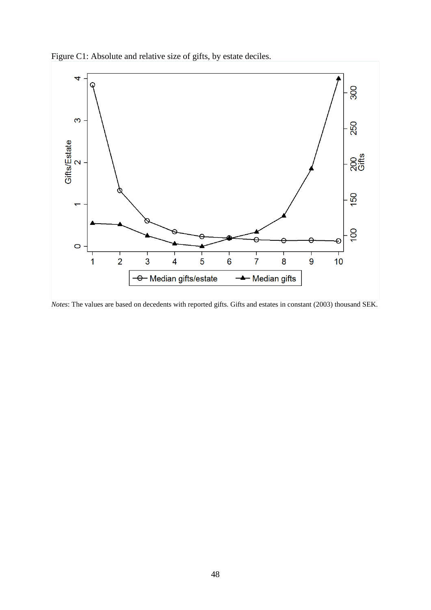



*Notes*: The values are based on decedents with reported gifts. Gifts and estates in constant (2003) thousand SEK.